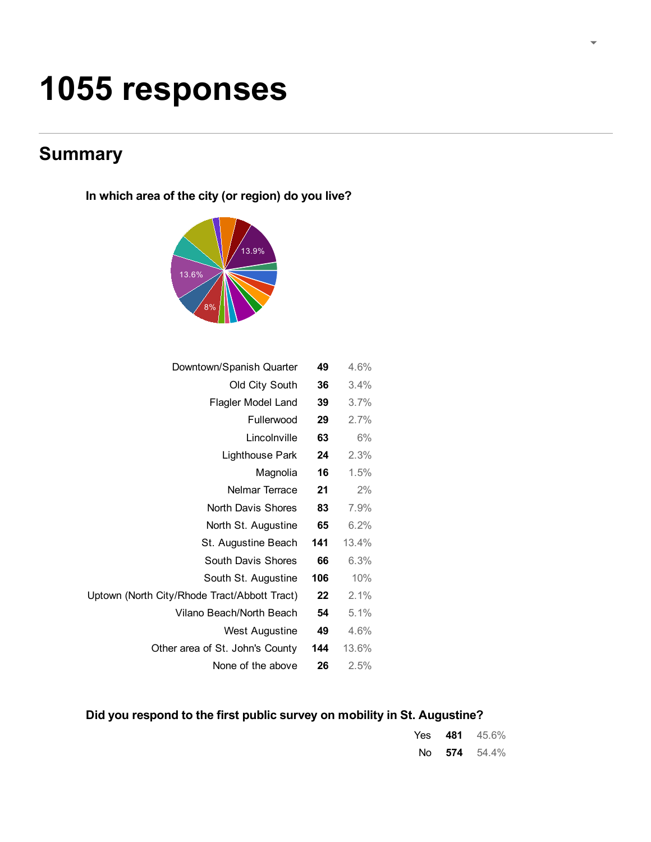# 1055 responses

# **Summary**

In which area of the city (or region) do you live?



| Downtown/Spanish Quarter                     | 49  | 4.6%  |  |
|----------------------------------------------|-----|-------|--|
| Old City South                               | 36  | 3.4%  |  |
| Flagler Model Land                           | 39  | 3.7%  |  |
| Fullerwood                                   | 29  | 2.7%  |  |
| Lincolnville                                 | 63  | 6%    |  |
| Lighthouse Park                              | 24  | 2.3%  |  |
| Magnolia                                     | 16  | 1.5%  |  |
| Nelmar Terrace                               | 21  | 2%    |  |
| North Davis Shores                           | 83  | 7.9%  |  |
| North St. Augustine                          | 65  | 6.2%  |  |
| St. Augustine Beach                          | 141 | 13.4% |  |
| South Davis Shores                           | 66  | 6.3%  |  |
| South St. Augustine                          | 106 | 10%   |  |
| Uptown (North City/Rhode Tract/Abbott Tract) | 22  | 2.1%  |  |
| Vilano Beach/North Beach                     | 54  | 5.1%  |  |
| <b>West Augustine</b>                        | 49  | 4.6%  |  |
| Other area of St. John's County              | 144 | 13.6% |  |
| None of the above                            | 26  | 2.5%  |  |

# Did you respond to the first public survey on mobility in St. Augustine?

|  | Yes $481$ $45.6\%$ |
|--|--------------------|
|  | No 574 $54.4\%$    |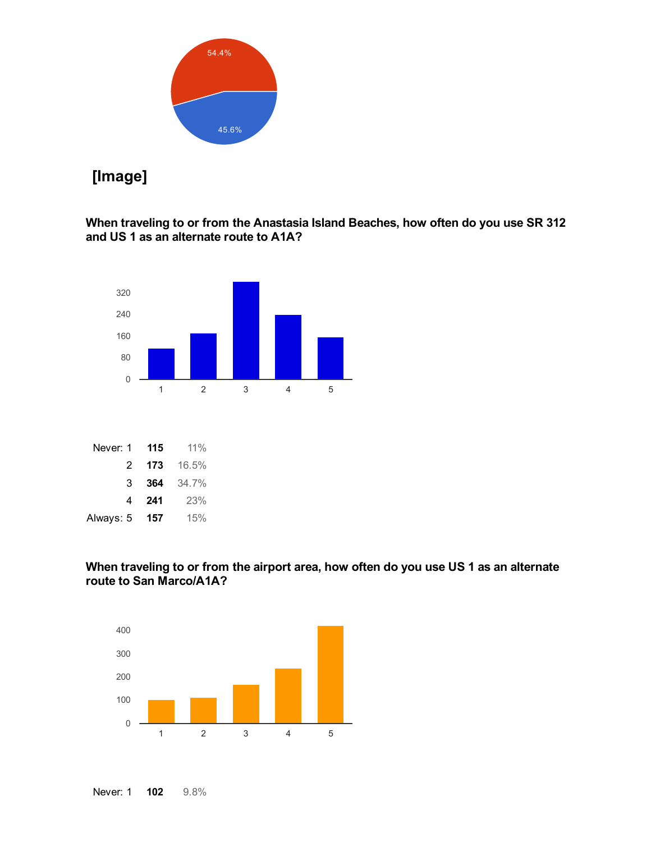

# [Image]

# When traveling to or from the Anastasia Island Beaches, how often do you use SR 312 and US 1 as an alternate route to A1A?



Always: 5 **157** 15%

# When traveling to or from the airport area, how often do you use US 1 as an alternate route to San Marco/A1A?



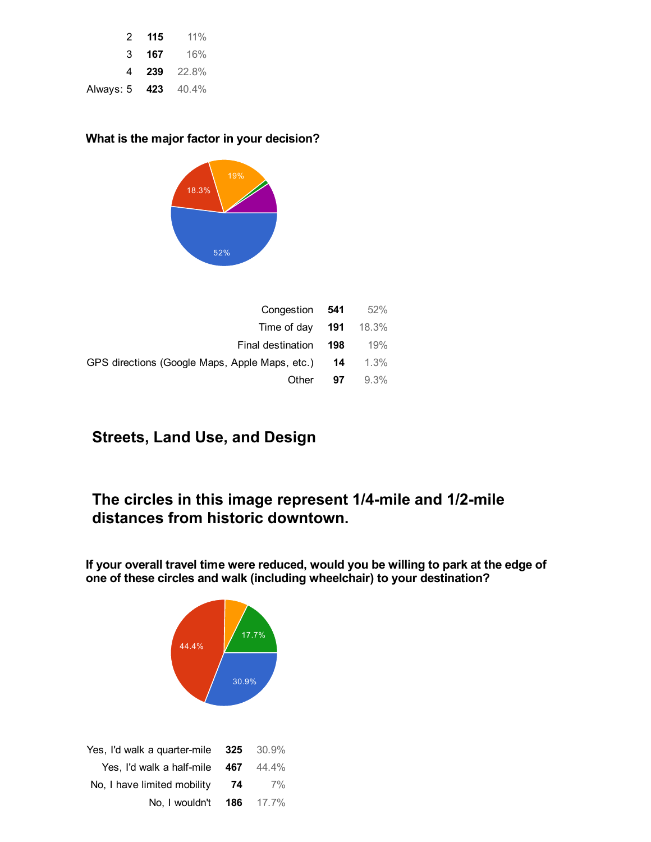|                     | 2 115 | 11%                |
|---------------------|-------|--------------------|
| 3                   | 167   | 16%                |
|                     |       | <b>4 239</b> 22.8% |
| Always: 5 423 40.4% |       |                    |

# What is the major factor in your decision?



| Congestion 541                                    |    | 52%     |
|---------------------------------------------------|----|---------|
| Time of day $191$ 18.3%                           |    |         |
| Final destination 198                             |    | 19%     |
| GPS directions (Google Maps, Apple Maps, etc.) 14 |    | 1.3%    |
| Other                                             | 97 | $9.3\%$ |

# Streets, Land Use, and Design

# The circles in this image represent 1/4-mile and 1/2-mile distances from historic downtown.

If your overall travel time were reduced, would you be willing to park at the edge of one of these circles and walk (including wheelchair) to your destination?

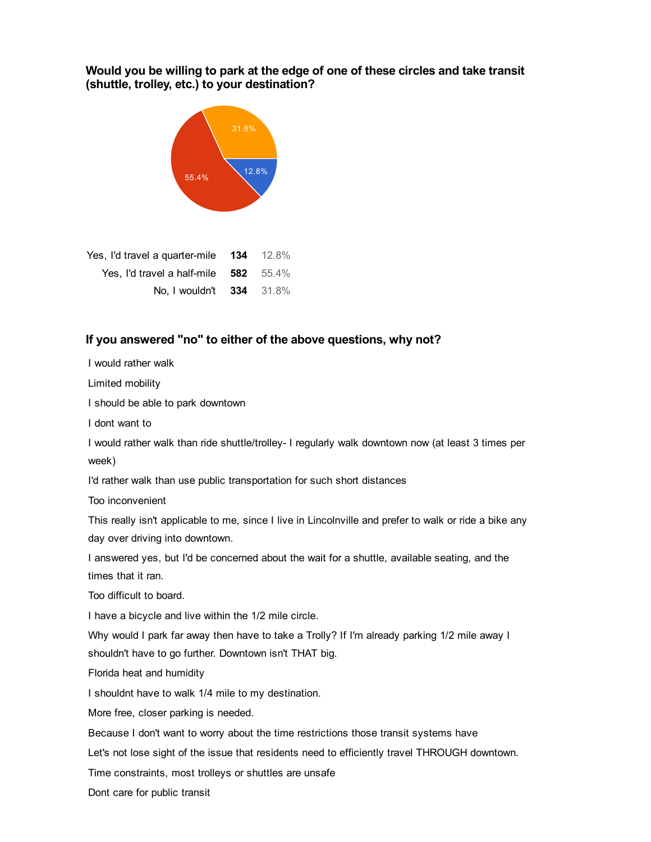# Would you be willing to park at the edge of one of these circles and take transit (shuttle, trolley, etc.) to your destination?



| Yes, I'd travel a quarter-mile 134 12.8% |  |
|------------------------------------------|--|
| Yes, I'd travel a half-mile $582$ 55.4%  |  |
| No. I wouldn't <b>334</b> 31.8%          |  |

# If you answered "no" to either of the above questions, why not?

I would rather walk

Limited mobility

I should be able to park downtown

I dont want to

I would rather walk than ride shuttle/trolley- I regularly walk downtown now (at least 3 times per week)

I'd rather walk than use public transportation for such short distances

Too inconvenient

This really isn't applicable to me, since I live in Lincolnville and prefer to walk or ride a bike any day over driving into downtown.

I answered yes, but I'd be concerned about the wait for a shuttle, available seating, and the times that it ran.

Too difficult to board.

I have a bicycle and live within the 1/2 mile circle.

Why would I park far away then have to take a Trolly? If I'm already parking 1/2 mile away I shouldn't have to go further. Downtown isn't THAT big.

Florida heat and humidity

I shouldnt have to walk 1/4 mile to my destination.

More free, closer parking is needed.

Because I don't want to worry about the time restrictions those transit systems have

Let's not lose sight of the issue that residents need to efficiently travel THROUGH downtown.

Time constraints, most trolleys or shuttles are unsafe

Dont care for public transit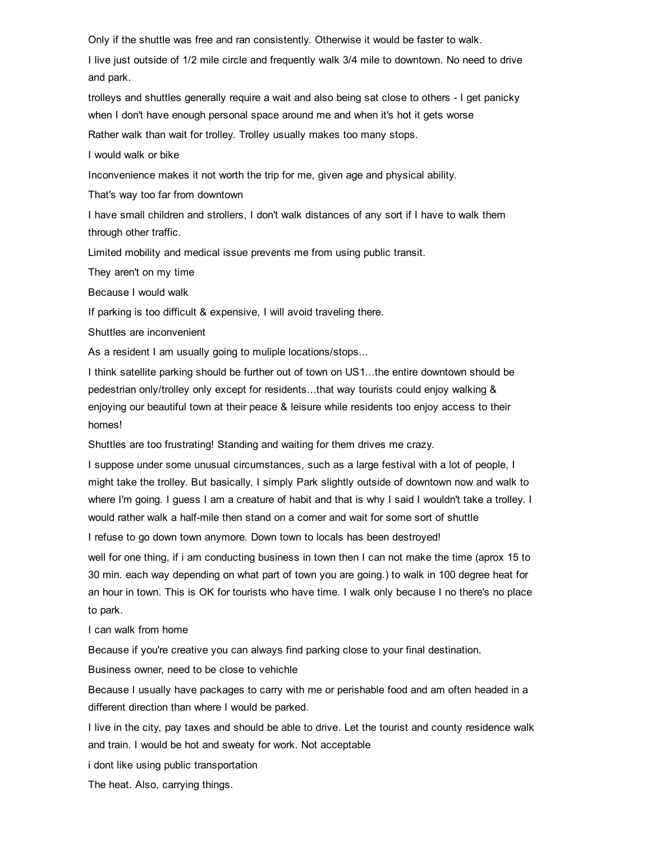Only if the shuttle was free and ran consistently. Otherwise it would be faster to walk.

I live just outside of 1/2 mile circle and frequently walk 3/4 mile to downtown. No need to drive and park.

trolleys and shuttles generally require a wait and also being sat close to others - I get panicky when I don't have enough personal space around me and when it's hot it gets worse

Rather walk than wait for trolley. Trolley usually makes too many stops.

I would walk or bike

Inconvenience makes it not worth the trip for me, given age and physical ability.

That's way too far from downtown

I have small children and strollers, I don't walk distances of any sort if I have to walk them through other traffic.

Limited mobility and medical issue prevents me from using public transit.

They aren't on my time

Because I would walk

If parking is too difficult & expensive, I will avoid traveling there.

Shuttles are inconvenient

As a resident I am usually going to muliple locations/stops...

I think satellite parking should be further out of town on US1...the entire downtown should be pedestrian only/trolley only except for residents...that way tourists could enjoy walking & enjoying our beautiful town at their peace & leisure while residents too enjoy access to their homes!

Shuttles are too frustrating! Standing and waiting for them drives me crazy.

I suppose under some unusual circumstances, such as a large festival with a lot of people, I might take the trolley. But basically, I simply Park slightly outside of downtown now and walk to where I'm going. I guess I am a creature of habit and that is why I said I wouldn't take a trolley. I would rather walk a half-mile then stand on a corner and wait for some sort of shuttle

I refuse to go down town anymore. Down town to locals has been destroyed!

well for one thing, if i am conducting business in town then I can not make the time (aprox 15 to 30 min. each way depending on what part of town you are going.) to walk in 100 degree heat for an hour in town. This is OK for tourists who have time. I walk only because I no there's no place to park.

I can walk from home

Because if you're creative you can always find parking close to your final destination.

Business owner, need to be close to vehichle

Because I usually have packages to carry with me or perishable food and am often headed in a different direction than where I would be parked.

I live in the city, pay taxes and should be able to drive. Let the tourist and county residence walk and train. I would be hot and sweaty for work. Not acceptable

i dont like using public transportation

The heat. Also, carrying things.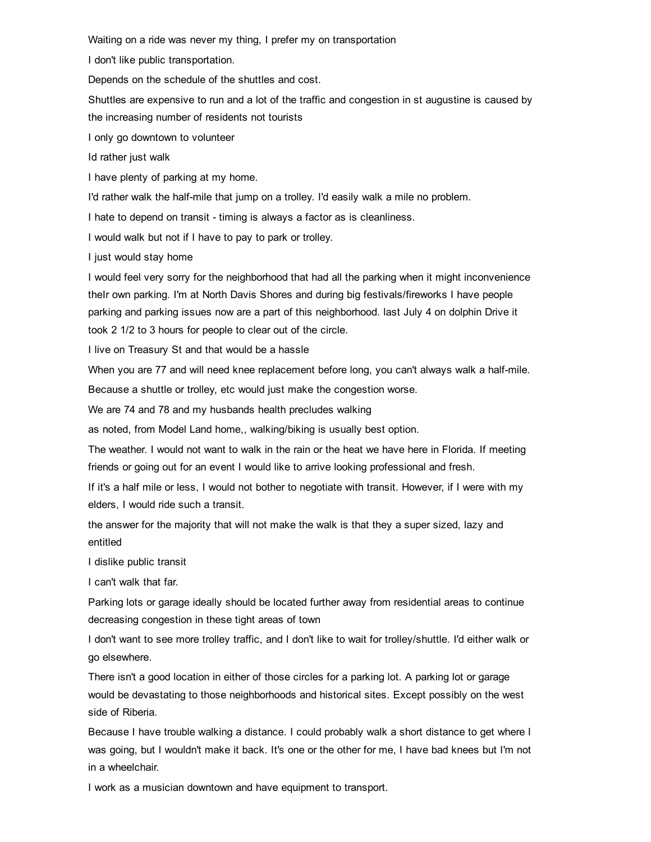Waiting on a ride was never my thing, I prefer my on transportation

I don't like public transportation.

Depends on the schedule of the shuttles and cost.

Shuttles are expensive to run and a lot of the traffic and congestion in st augustine is caused by the increasing number of residents not tourists

I only go downtown to volunteer

Id rather just walk

I have plenty of parking at my home.

I'd rather walk the half-mile that jump on a trolley. I'd easily walk a mile no problem.

I hate to depend on transit - timing is always a factor as is cleanliness.

I would walk but not if I have to pay to park or trolley.

I just would stay home

I would feel very sorry for the neighborhood that had all the parking when it might inconvenience theIr own parking. I'm at North Davis Shores and during big festivals/fireworks I have people parking and parking issues now are a part of this neighborhood. last July 4 on dolphin Drive it took 2 1/2 to 3 hours for people to clear out of the circle.

I live on Treasury St and that would be a hassle

When you are 77 and will need knee replacement before long, you can't always walk a half-mile.

Because a shuttle or trolley, etc would just make the congestion worse.

We are 74 and 78 and my husbands health precludes walking

as noted, from Model Land home,, walking/biking is usually best option.

The weather. I would not want to walk in the rain or the heat we have here in Florida. If meeting friends or going out for an event I would like to arrive looking professional and fresh.

If it's a half mile or less, I would not bother to negotiate with transit. However, if I were with my elders, I would ride such a transit.

the answer for the majority that will not make the walk is that they a super sized, lazy and entitled

I dislike public transit

I can't walk that far.

Parking lots or garage ideally should be located further away from residential areas to continue decreasing congestion in these tight areas of town

I don't want to see more trolley traffic, and I don't like to wait for trolley/shuttle. I'd either walk or go elsewhere.

There isn't a good location in either of those circles for a parking lot. A parking lot or garage would be devastating to those neighborhoods and historical sites. Except possibly on the west side of Riberia.

Because I have trouble walking a distance. I could probably walk a short distance to get where I was going, but I wouldn't make it back. It's one or the other for me, I have bad knees but I'm not in a wheelchair.

I work as a musician downtown and have equipment to transport.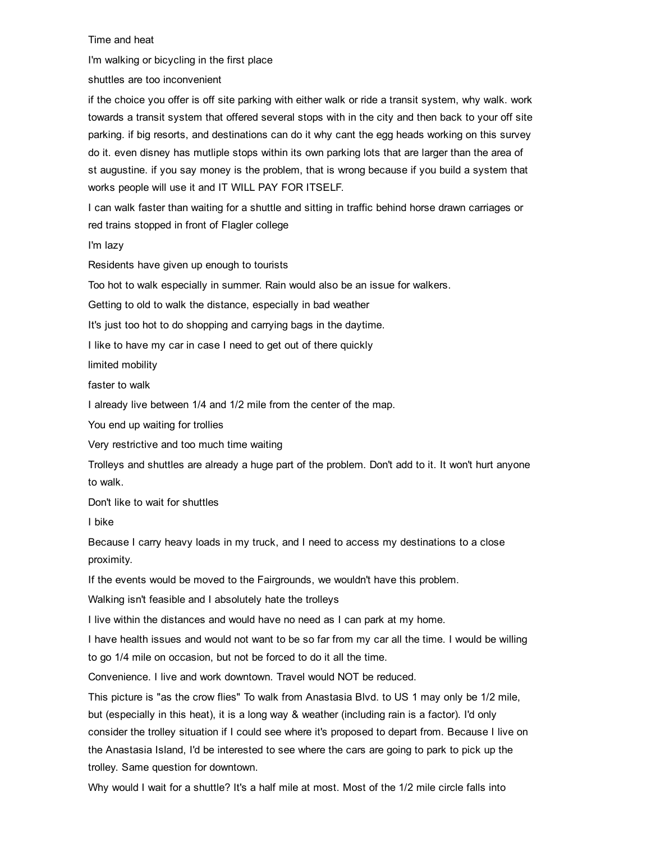Time and heat

I'm walking or bicycling in the first place

shuttles are too inconvenient

if the choice you offer is off site parking with either walk or ride a transit system, why walk. work towards a transit system that offered several stops with in the city and then back to your off site parking. if big resorts, and destinations can do it why cant the egg heads working on this survey do it. even disney has mutliple stops within its own parking lots that are larger than the area of st augustine. if you say money is the problem, that is wrong because if you build a system that works people will use it and IT WILL PAY FOR ITSELF.

I can walk faster than waiting for a shuttle and sitting in traffic behind horse drawn carriages or red trains stopped in front of Flagler college

I'm lazy

Residents have given up enough to tourists

Too hot to walk especially in summer. Rain would also be an issue for walkers.

Getting to old to walk the distance, especially in bad weather

It's just too hot to do shopping and carrying bags in the daytime.

I like to have my car in case I need to get out of there quickly

limited mobility

faster to walk

I already live between 1/4 and 1/2 mile from the center of the map.

You end up waiting for trollies

Very restrictive and too much time waiting

Trolleys and shuttles are already a huge part of the problem. Don't add to it. It won't hurt anyone to walk.

Don't like to wait for shuttles

I bike

Because I carry heavy loads in my truck, and I need to access my destinations to a close proximity.

If the events would be moved to the Fairgrounds, we wouldn't have this problem.

Walking isn't feasible and I absolutely hate the trolleys

I live within the distances and would have no need as I can park at my home.

I have health issues and would not want to be so far from my car all the time. I would be willing to go 1/4 mile on occasion, but not be forced to do it all the time.

Convenience. I live and work downtown. Travel would NOT be reduced.

This picture is "as the crow flies" To walk from Anastasia Blvd. to US 1 may only be 1/2 mile, but (especially in this heat), it is a long way & weather (including rain is a factor). I'd only consider the trolley situation if I could see where it's proposed to depart from. Because I live on the Anastasia Island, I'd be interested to see where the cars are going to park to pick up the trolley. Same question for downtown.

Why would I wait for a shuttle? It's a half mile at most. Most of the 1/2 mile circle falls into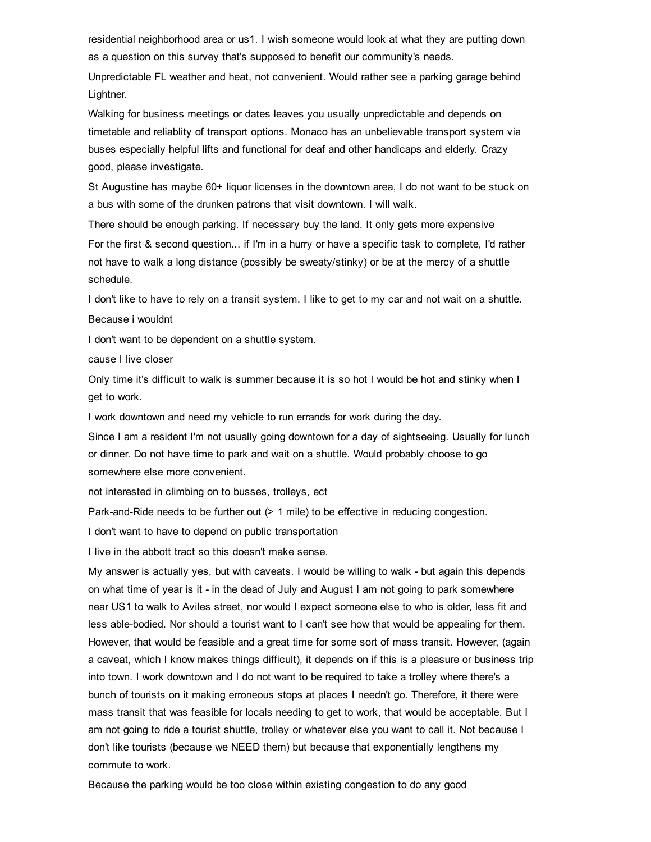residential neighborhood area or us1. I wish someone would look at what they are putting down as a question on this survey that's supposed to benefit our community's needs.

Unpredictable FL weather and heat, not convenient. Would rather see a parking garage behind Lightner.

Walking for business meetings or dates leaves you usually unpredictable and depends on timetable and reliablity of transport options. Monaco has an unbelievable transport system via buses especially helpful lifts and functional for deaf and other handicaps and elderly. Crazy good, please investigate.

St Augustine has maybe 60+ liquor licenses in the downtown area, I do not want to be stuck on a bus with some of the drunken patrons that visit downtown. I will walk.

There should be enough parking. If necessary buy the land. It only gets more expensive For the first & second question... if I'm in a hurry or have a specific task to complete, I'd rather not have to walk a long distance (possibly be sweaty/stinky) or be at the mercy of a shuttle schedule.

I don't like to have to rely on a transit system. I like to get to my car and not wait on a shuttle. Because i wouldnt

I don't want to be dependent on a shuttle system.

cause I live closer

Only time it's difficult to walk is summer because it is so hot I would be hot and stinky when I get to work.

I work downtown and need my vehicle to run errands for work during the day.

Since I am a resident I'm not usually going downtown for a day of sightseeing. Usually for lunch or dinner. Do not have time to park and wait on a shuttle. Would probably choose to go somewhere else more convenient.

not interested in climbing on to busses, trolleys, ect

Park-and-Ride needs to be further out (> 1 mile) to be effective in reducing congestion.

I don't want to have to depend on public transportation

I live in the abbott tract so this doesn't make sense.

My answer is actually yes, but with caveats. I would be willing to walk - but again this depends on what time of year is it in the dead of July and August I am not going to park somewhere near US1 to walk to Aviles street, nor would I expect someone else to who is older, less fit and less able-bodied. Nor should a tourist want to I can't see how that would be appealing for them. However, that would be feasible and a great time for some sort of mass transit. However, (again a caveat, which I know makes things difficult), it depends on if this is a pleasure or business trip into town. I work downtown and I do not want to be required to take a trolley where there's a bunch of tourists on it making erroneous stops at places I needn't go. Therefore, it there were mass transit that was feasible for locals needing to get to work, that would be acceptable. But I am not going to ride a tourist shuttle, trolley or whatever else you want to call it. Not because I don't like tourists (because we NEED them) but because that exponentially lengthens my commute to work.

Because the parking would be too close within existing congestion to do any good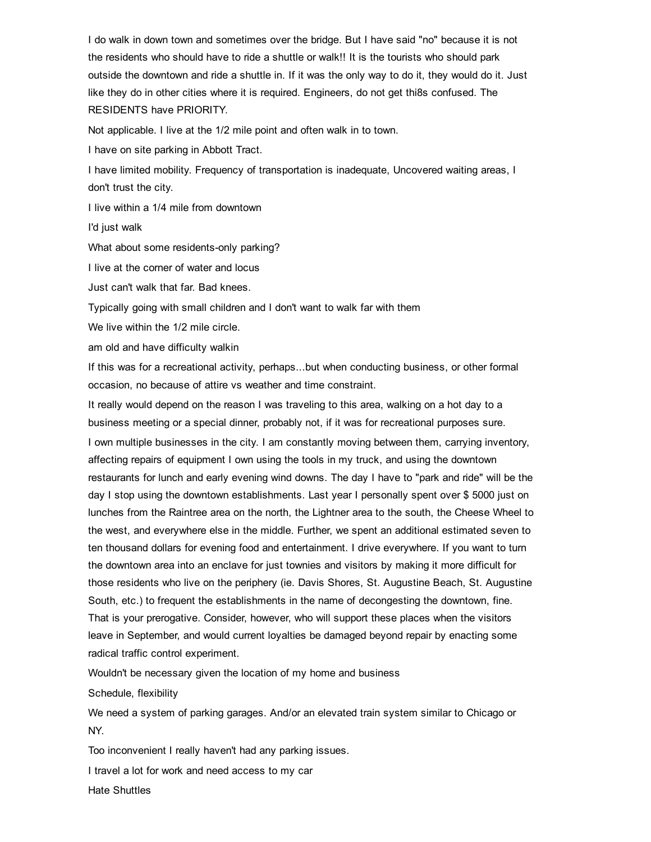I do walk in down town and sometimes over the bridge. But I have said "no" because it is not the residents who should have to ride a shuttle or walk!! It is the tourists who should park outside the downtown and ride a shuttle in. If it was the only way to do it, they would do it. Just like they do in other cities where it is required. Engineers, do not get thi8s confused. The RESIDENTS have PRIORITY.

Not applicable. I live at the 1/2 mile point and often walk in to town.

I have on site parking in Abbott Tract.

I have limited mobility. Frequency of transportation is inadequate, Uncovered waiting areas, I don't trust the city.

I live within a 1/4 mile from downtown

I'd just walk

What about some residents-only parking?

I live at the corner of water and locus

Just can't walk that far. Bad knees.

Typically going with small children and I don't want to walk far with them

We live within the 1/2 mile circle.

am old and have difficulty walkin

If this was for a recreational activity, perhaps...but when conducting business, or other formal occasion, no because of attire vs weather and time constraint.

It really would depend on the reason I was traveling to this area, walking on a hot day to a business meeting or a special dinner, probably not, if it was for recreational purposes sure.

I own multiple businesses in the city. I am constantly moving between them, carrying inventory, affecting repairs of equipment I own using the tools in my truck, and using the downtown restaurants for lunch and early evening wind downs. The day I have to "park and ride" will be the day I stop using the downtown establishments. Last year I personally spent over \$ 5000 just on lunches from the Raintree area on the north, the Lightner area to the south, the Cheese Wheel to the west, and everywhere else in the middle. Further, we spent an additional estimated seven to ten thousand dollars for evening food and entertainment. I drive everywhere. If you want to turn the downtown area into an enclave for just townies and visitors by making it more difficult for those residents who live on the periphery (ie. Davis Shores, St. Augustine Beach, St. Augustine South, etc.) to frequent the establishments in the name of decongesting the downtown, fine. That is your prerogative. Consider, however, who will support these places when the visitors leave in September, and would current loyalties be damaged beyond repair by enacting some radical traffic control experiment.

Wouldn't be necessary given the location of my home and business

Schedule, flexibility

We need a system of parking garages. And/or an elevated train system similar to Chicago or NY.

Too inconvenient I really haven't had any parking issues.

I travel a lot for work and need access to my car

Hate Shuttles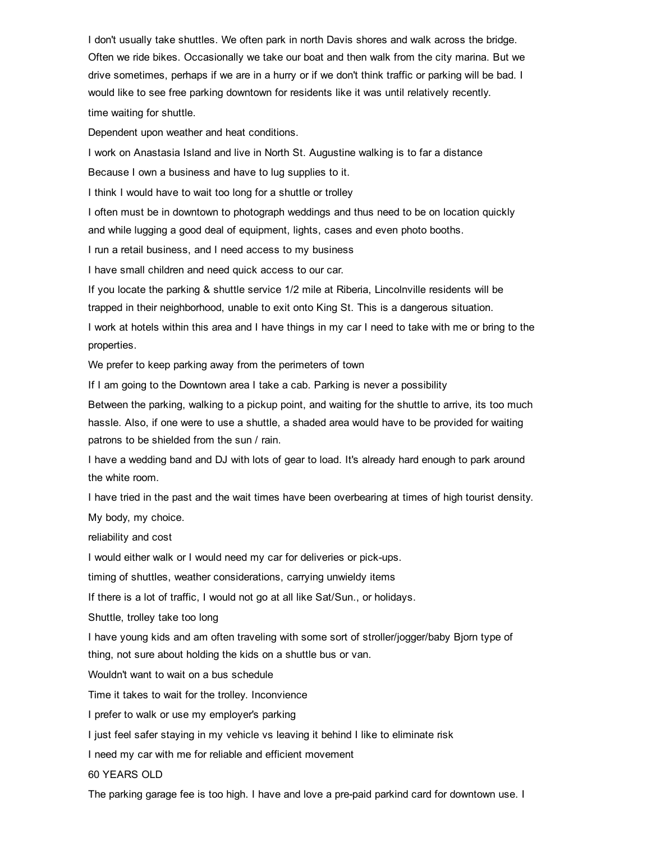I don't usually take shuttles. We often park in north Davis shores and walk across the bridge. Often we ride bikes. Occasionally we take our boat and then walk from the city marina. But we drive sometimes, perhaps if we are in a hurry or if we don't think traffic or parking will be bad. I would like to see free parking downtown for residents like it was until relatively recently. time waiting for shuttle.

Dependent upon weather and heat conditions.

I work on Anastasia Island and live in North St. Augustine walking is to far a distance

Because I own a business and have to lug supplies to it.

I think I would have to wait too long for a shuttle or trolley

I often must be in downtown to photograph weddings and thus need to be on location quickly and while lugging a good deal of equipment, lights, cases and even photo booths.

I run a retail business, and I need access to my business

I have small children and need quick access to our car.

If you locate the parking & shuttle service 1/2 mile at Riberia, Lincolnville residents will be trapped in their neighborhood, unable to exit onto King St. This is a dangerous situation.

I work at hotels within this area and I have things in my car I need to take with me or bring to the properties.

We prefer to keep parking away from the perimeters of town

If I am going to the Downtown area I take a cab. Parking is never a possibility

Between the parking, walking to a pickup point, and waiting for the shuttle to arrive, its too much hassle. Also, if one were to use a shuttle, a shaded area would have to be provided for waiting patrons to be shielded from the sun / rain.

I have a wedding band and DJ with lots of gear to load. It's already hard enough to park around the white room.

I have tried in the past and the wait times have been overbearing at times of high tourist density. My body, my choice.

reliability and cost

I would either walk or I would need my car for deliveries or pick-ups.

timing of shuttles, weather considerations, carrying unwieldy items

If there is a lot of traffic, I would not go at all like Sat/Sun., or holidays.

Shuttle, trolley take too long

I have young kids and am often traveling with some sort of stroller/jogger/baby Bjorn type of thing, not sure about holding the kids on a shuttle bus or van.

Wouldn't want to wait on a bus schedule

Time it takes to wait for the trolley. Inconvience

I prefer to walk or use my employer's parking

I just feel safer staying in my vehicle vs leaving it behind I like to eliminate risk

I need my car with me for reliable and efficient movement

60 YEARS OLD

The parking garage fee is too high. I have and love a pre-paid parkind card for downtown use. I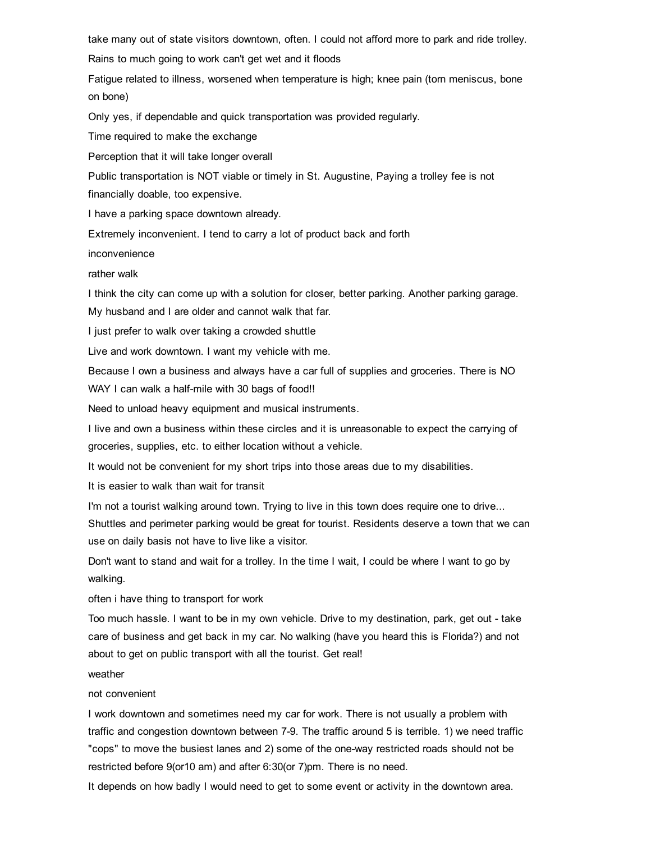take many out of state visitors downtown, often. I could not afford more to park and ride trolley.

Rains to much going to work can't get wet and it floods

Fatigue related to illness, worsened when temperature is high; knee pain (torn meniscus, bone on bone)

Only yes, if dependable and quick transportation was provided regularly.

Time required to make the exchange

Perception that it will take longer overall

Public transportation is NOT viable or timely in St. Augustine, Paying a trolley fee is not financially doable, too expensive.

I have a parking space downtown already.

Extremely inconvenient. I tend to carry a lot of product back and forth

inconvenience

rather walk

I think the city can come up with a solution for closer, better parking. Another parking garage.

My husband and I are older and cannot walk that far.

I just prefer to walk over taking a crowded shuttle

Live and work downtown. I want my vehicle with me.

Because I own a business and always have a car full of supplies and groceries. There is NO WAY I can walk a half-mile with 30 bags of food!!

Need to unload heavy equipment and musical instruments.

I live and own a business within these circles and it is unreasonable to expect the carrying of groceries, supplies, etc. to either location without a vehicle.

It would not be convenient for my short trips into those areas due to my disabilities.

It is easier to walk than wait for transit

I'm not a tourist walking around town. Trying to live in this town does require one to drive...

Shuttles and perimeter parking would be great for tourist. Residents deserve a town that we can use on daily basis not have to live like a visitor.

Don't want to stand and wait for a trolley. In the time I wait, I could be where I want to go by walking.

often i have thing to transport for work

Too much hassle. I want to be in my own vehicle. Drive to my destination, park, get out take care of business and get back in my car. No walking (have you heard this is Florida?) and not about to get on public transport with all the tourist. Get real!

weather

#### not convenient

I work downtown and sometimes need my car for work. There is not usually a problem with traffic and congestion downtown between 79. The traffic around 5 is terrible. 1) we need traffic "cops" to move the busiest lanes and 2) some of the one-way restricted roads should not be restricted before 9(or10 am) and after 6:30(or 7)pm. There is no need.

It depends on how badly I would need to get to some event or activity in the downtown area.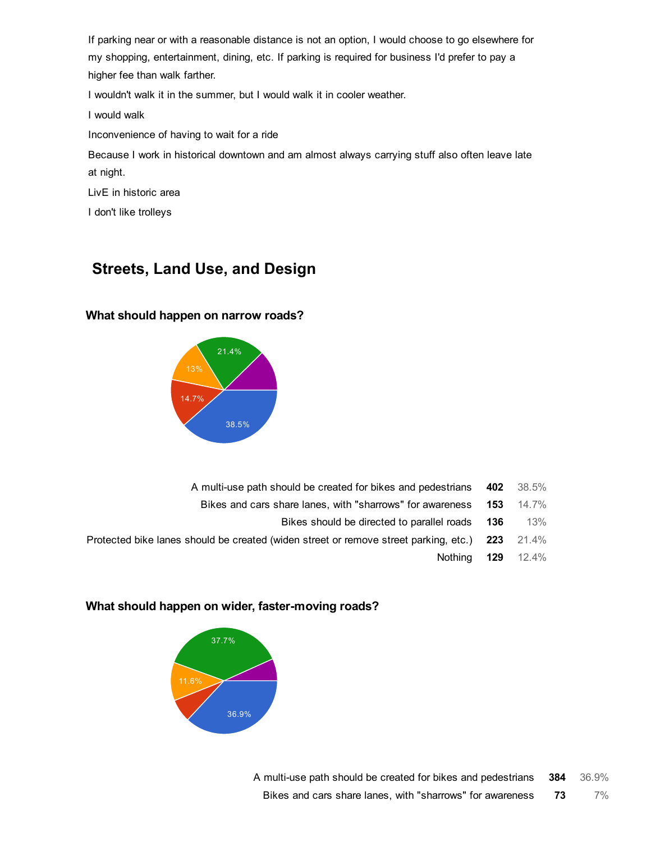If parking near or with a reasonable distance is not an option, I would choose to go elsewhere for my shopping, entertainment, dining, etc. If parking is required for business I'd prefer to pay a higher fee than walk farther.

I wouldn't walk it in the summer, but I would walk it in cooler weather.

I would walk

Inconvenience of having to wait for a ride

Because I work in historical downtown and am almost always carrying stuff also often leave late at night.

LivE in historic area

I don't like trolleys

# Streets, Land Use, and Design

## What should happen on narrow roads?



- A multi-use path should be created for bikes and pedestrians 402 38.5%
	- Bikes and cars share lanes, with "sharrows" for awareness 153 14.7%
		- Bikes should be directed to parallel roads 136 13%
- Protected bike lanes should be created (widen street or remove street parking, etc.) 223 21.4%
	- Nothing 129 12.4%

## What should happen on wider, faster-moving roads?



A multi-use path should be created for bikes and pedestrians 384 36.9% Bikes and cars share lanes, with "sharrows" for awareness 73 7%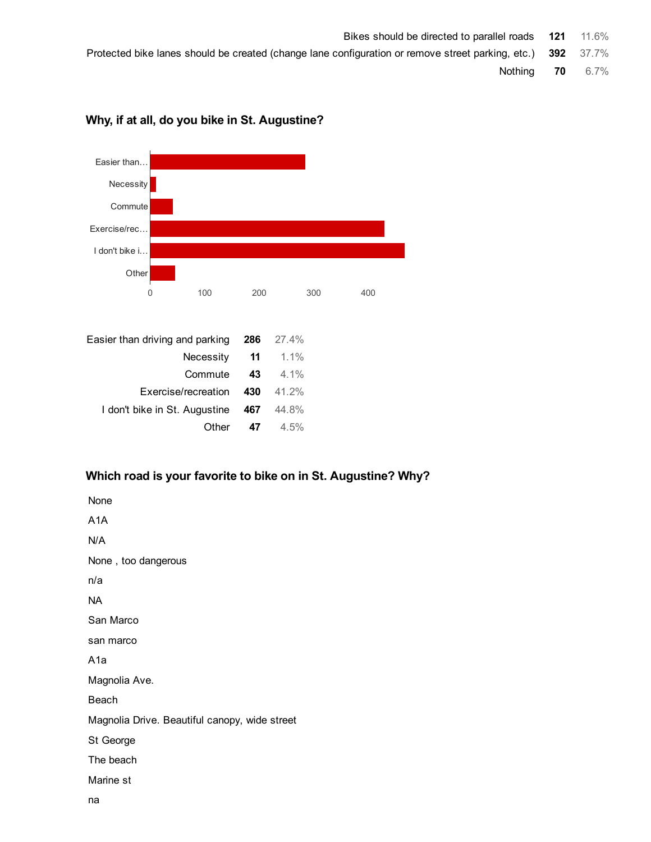Protected bike lanes should be created (change lane configuration or remove street parking, etc.) 392 37.7%

Nothing 70 6.7%



# Why, if at all, do you bike in St. Augustine?

# Which road is your favorite to bike on in St. Augustine? Why?

| None                                          |
|-----------------------------------------------|
| A1A                                           |
| N/A                                           |
| None, too dangerous                           |
| n/a                                           |
| NА                                            |
| San Marco                                     |
| san marco                                     |
| A1a                                           |
| Magnolia Ave.                                 |
| Beach                                         |
| Magnolia Drive. Beautiful canopy, wide street |
| St George                                     |
| The beach                                     |
| Marine st                                     |
| nа                                            |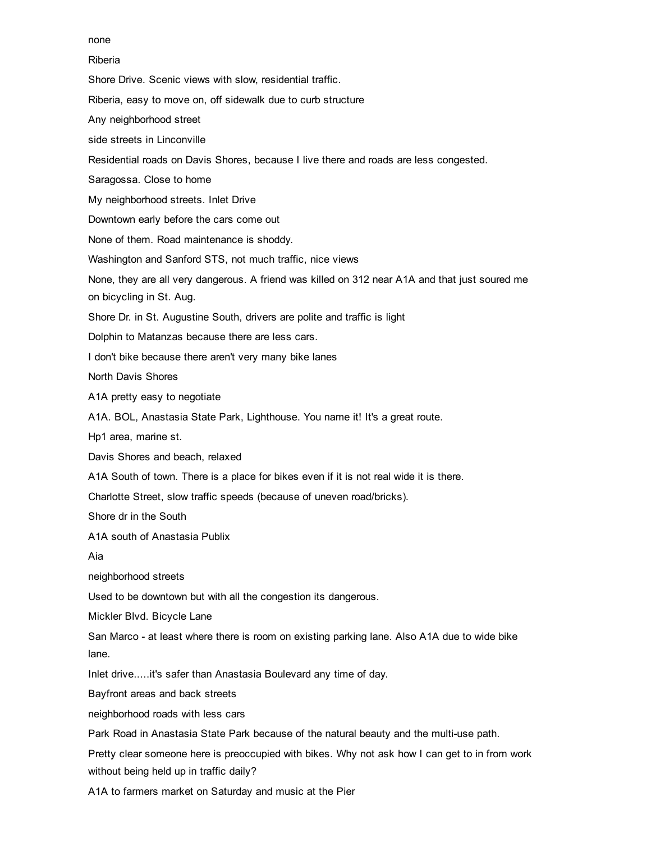#### none

#### Riberia

Shore Drive. Scenic views with slow, residential traffic.

Riberia, easy to move on, off sidewalk due to curb structure

Any neighborhood street

side streets in Linconville

Residential roads on Davis Shores, because I live there and roads are less congested.

Saragossa. Close to home

My neighborhood streets. Inlet Drive

Downtown early before the cars come out

None of them. Road maintenance is shoddy.

Washington and Sanford STS, not much traffic, nice views

None, they are all very dangerous. A friend was killed on 312 near A1A and that just soured me on bicycling in St. Aug.

Shore Dr. in St. Augustine South, drivers are polite and traffic is light

Dolphin to Matanzas because there are less cars.

I don't bike because there aren't very many bike lanes

North Davis Shores

A1A pretty easy to negotiate

A1A. BOL, Anastasia State Park, Lighthouse. You name it! It's a great route.

Hp1 area, marine st.

Davis Shores and beach, relaxed

A1A South of town. There is a place for bikes even if it is not real wide it is there.

Charlotte Street, slow traffic speeds (because of uneven road/bricks).

Shore dr in the South

A1A south of Anastasia Publix

Aia

neighborhood streets

Used to be downtown but with all the congestion its dangerous.

Mickler Blvd. Bicycle Lane

San Marco - at least where there is room on existing parking lane. Also A1A due to wide bike lane.

Inlet drive.....it's safer than Anastasia Boulevard any time of day.

Bayfront areas and back streets

neighborhood roads with less cars

Park Road in Anastasia State Park because of the natural beauty and the multi-use path.

Pretty clear someone here is preoccupied with bikes. Why not ask how I can get to in from work without being held up in traffic daily?

A1A to farmers market on Saturday and music at the Pier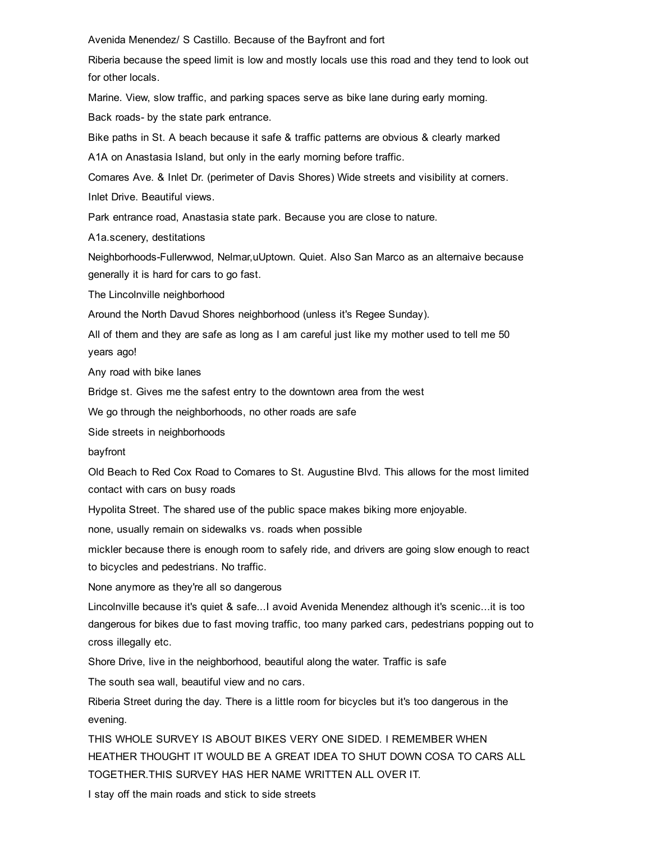Avenida Menendez/ S Castillo. Because of the Bayfront and fort

Riberia because the speed limit is low and mostly locals use this road and they tend to look out for other locals.

Marine. View, slow traffic, and parking spaces serve as bike lane during early morning.

Back roads- by the state park entrance.

Bike paths in St. A beach because it safe & traffic patterns are obvious & clearly marked

A1A on Anastasia Island, but only in the early morning before traffic.

Comares Ave. & Inlet Dr. (perimeter of Davis Shores) Wide streets and visibility at corners.

Inlet Drive. Beautiful views.

Park entrance road, Anastasia state park. Because you are close to nature.

A1a.scenery, destitations

Neighborhoods-Fullerwwod, Nelmar,uUptown. Quiet. Also San Marco as an alternaive because generally it is hard for cars to go fast.

The Lincolnville neighborhood

Around the North Davud Shores neighborhood (unless it's Regee Sunday).

All of them and they are safe as long as I am careful just like my mother used to tell me 50 years ago!

Any road with bike lanes

Bridge st. Gives me the safest entry to the downtown area from the west

We go through the neighborhoods, no other roads are safe

Side streets in neighborhoods

bayfront

Old Beach to Red Cox Road to Comares to St. Augustine Blvd. This allows for the most limited contact with cars on busy roads

Hypolita Street. The shared use of the public space makes biking more enjoyable.

none, usually remain on sidewalks vs. roads when possible

mickler because there is enough room to safely ride, and drivers are going slow enough to react to bicycles and pedestrians. No traffic.

None anymore as they're all so dangerous

Lincolnville because it's quiet & safe...I avoid Avenida Menendez although it's scenic...it is too dangerous for bikes due to fast moving traffic, too many parked cars, pedestrians popping out to cross illegally etc.

Shore Drive, live in the neighborhood, beautiful along the water. Traffic is safe

The south sea wall, beautiful view and no cars.

Riberia Street during the day. There is a little room for bicycles but it's too dangerous in the evening.

THIS WHOLE SURVEY IS ABOUT BIKES VERY ONE SIDED. I REMEMBER WHEN HEATHER THOUGHT IT WOULD BE A GREAT IDEA TO SHUT DOWN COSA TO CARS ALL TOGETHER.THIS SURVEY HAS HER NAME WRITTEN ALL OVER IT.

I stay off the main roads and stick to side streets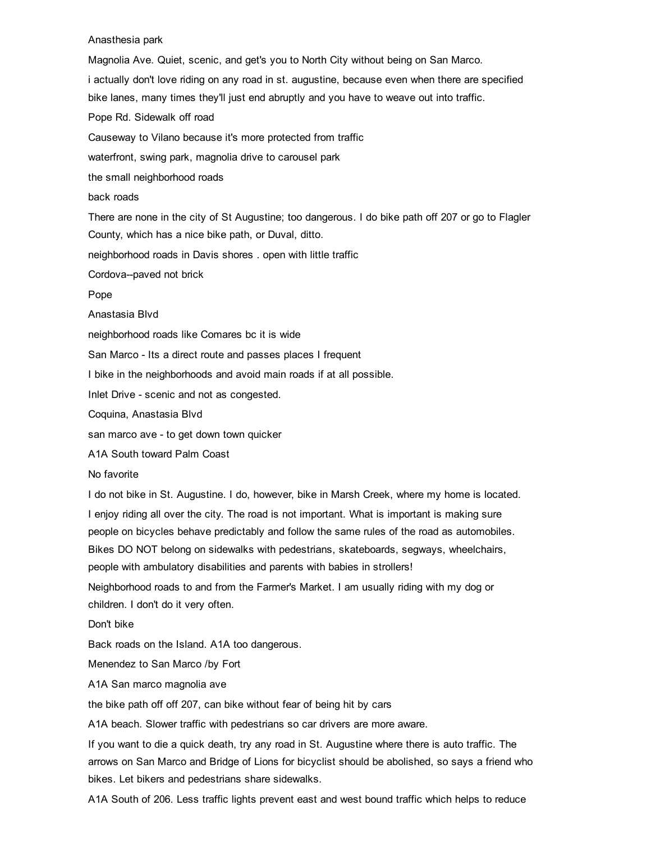#### Anasthesia park

Magnolia Ave. Quiet, scenic, and get's you to North City without being on San Marco. i actually don't love riding on any road in st. augustine, because even when there are specified bike lanes, many times they'll just end abruptly and you have to weave out into traffic. Pope Rd. Sidewalk off road Causeway to Vilano because it's more protected from traffic waterfront, swing park, magnolia drive to carousel park the small neighborhood roads back roads There are none in the city of St Augustine; too dangerous. I do bike path off 207 or go to Flagler County, which has a nice bike path, or Duval, ditto. neighborhood roads in Davis shores . open with little traffic Cordova--paved not brick Pope Anastasia Blvd neighborhood roads like Comares bc it is wide San Marco - Its a direct route and passes places I frequent I bike in the neighborhoods and avoid main roads if at all possible. Inlet Drive - scenic and not as congested. Coquina, Anastasia Blvd san marco ave - to get down town quicker A1A South toward Palm Coast No favorite I do not bike in St. Augustine. I do, however, bike in Marsh Creek, where my home is located. I enjoy riding all over the city. The road is not important. What is important is making sure people on bicycles behave predictably and follow the same rules of the road as automobiles. Bikes DO NOT belong on sidewalks with pedestrians, skateboards, segways, wheelchairs, people with ambulatory disabilities and parents with babies in strollers! Neighborhood roads to and from the Farmer's Market. I am usually riding with my dog or children. I don't do it very often. Don't bike Back roads on the Island. A1A too dangerous. Menendez to San Marco /by Fort A1A San marco magnolia ave the bike path off off 207, can bike without fear of being hit by cars

A1A beach. Slower traffic with pedestrians so car drivers are more aware.

If you want to die a quick death, try any road in St. Augustine where there is auto traffic. The arrows on San Marco and Bridge of Lions for bicyclist should be abolished, so says a friend who bikes. Let bikers and pedestrians share sidewalks.

A1A South of 206. Less traffic lights prevent east and west bound traffic which helps to reduce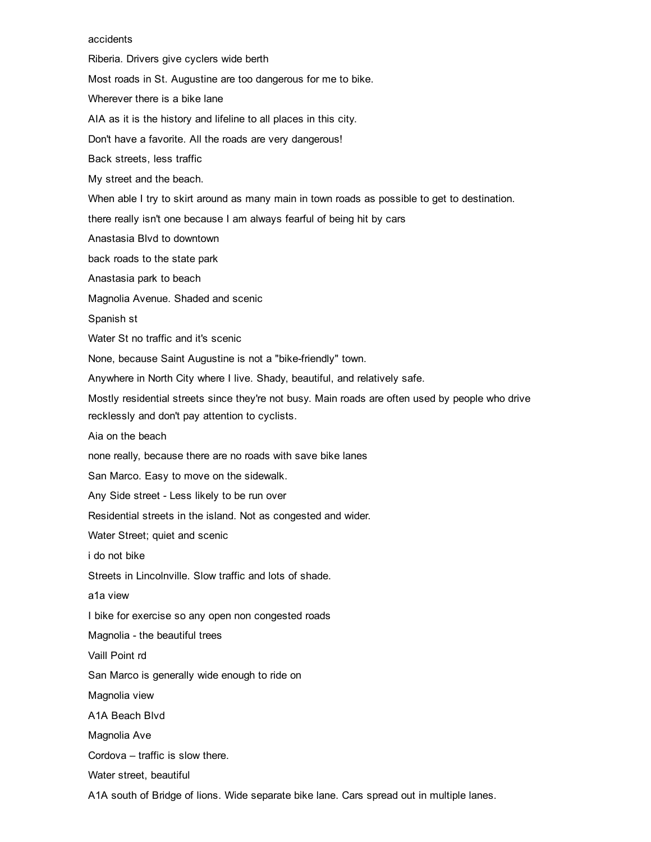#### accidents

Riberia. Drivers give cyclers wide berth

Most roads in St. Augustine are too dangerous for me to bike.

Wherever there is a bike lane

AIA as it is the history and lifeline to all places in this city.

Don't have a favorite. All the roads are very dangerous!

Back streets, less traffic

My street and the beach.

When able I try to skirt around as many main in town roads as possible to get to destination.

there really isn't one because I am always fearful of being hit by cars

Anastasia Blvd to downtown

back roads to the state park

Anastasia park to beach

Magnolia Avenue. Shaded and scenic

Spanish st

Water St no traffic and it's scenic

None, because Saint Augustine is not a "bike-friendly" town.

Anywhere in North City where I live. Shady, beautiful, and relatively safe.

Mostly residential streets since they're not busy. Main roads are often used by people who drive recklessly and don't pay attention to cyclists.

Aia on the beach

none really, because there are no roads with save bike lanes

San Marco. Easy to move on the sidewalk.

Any Side street - Less likely to be run over

Residential streets in the island. Not as congested and wider.

Water Street; quiet and scenic

i do not bike

Streets in Lincolnville. Slow traffic and lots of shade.

a1a view

I bike for exercise so any open non congested roads

Magnolia - the beautiful trees

Vaill Point rd

San Marco is generally wide enough to ride on

Magnolia view

A1A Beach Blvd

Magnolia Ave

Cordova – traffic is slow there.

Water street, beautiful

A1A south of Bridge of lions. Wide separate bike lane. Cars spread out in multiple lanes.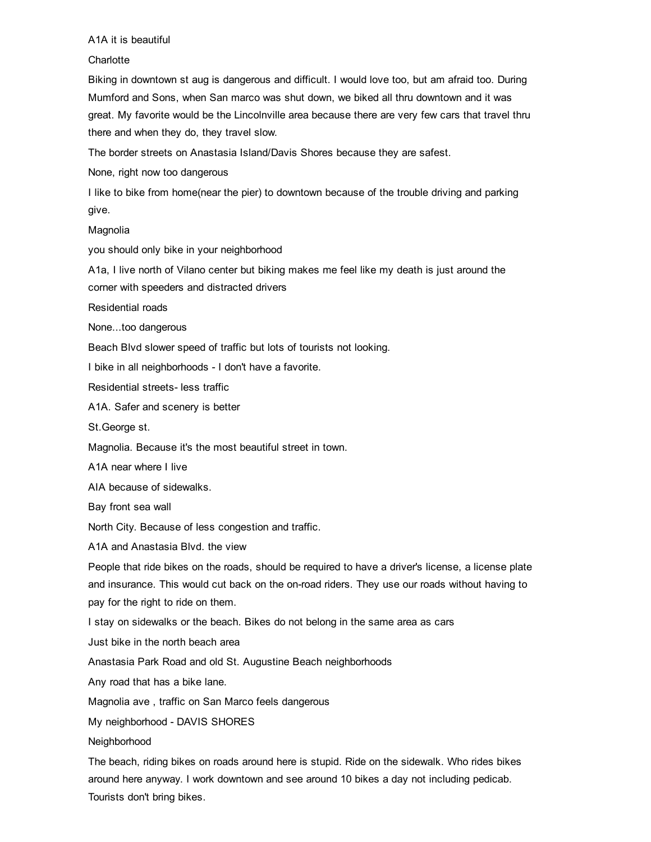#### A1A it is beautiful

#### **Charlotte**

Biking in downtown st aug is dangerous and difficult. I would love too, but am afraid too. During Mumford and Sons, when San marco was shut down, we biked all thru downtown and it was great. My favorite would be the Lincolnville area because there are very few cars that travel thru there and when they do, they travel slow.

The border streets on Anastasia Island/Davis Shores because they are safest.

None, right now too dangerous

I like to bike from home(near the pier) to downtown because of the trouble driving and parking give.

Magnolia

you should only bike in your neighborhood

A1a, I live north of Vilano center but biking makes me feel like my death is just around the corner with speeders and distracted drivers

Residential roads

None...too dangerous

Beach Blvd slower speed of traffic but lots of tourists not looking.

I bike in all neighborhoods - I don't have a favorite.

Residential streets- less traffic

A1A. Safer and scenery is better

St.George st.

Magnolia. Because it's the most beautiful street in town.

A1A near where I live

AIA because of sidewalks.

Bay front sea wall

North City. Because of less congestion and traffic.

A1A and Anastasia Blvd. the view

People that ride bikes on the roads, should be required to have a driver's license, a license plate and insurance. This would cut back on the on-road riders. They use our roads without having to pay for the right to ride on them.

I stay on sidewalks or the beach. Bikes do not belong in the same area as cars

Just bike in the north beach area

Anastasia Park Road and old St. Augustine Beach neighborhoods

Any road that has a bike lane.

Magnolia ave , traffic on San Marco feels dangerous

My neighborhood - DAVIS SHORES

Neighborhood

The beach, riding bikes on roads around here is stupid. Ride on the sidewalk. Who rides bikes around here anyway. I work downtown and see around 10 bikes a day not including pedicab. Tourists don't bring bikes.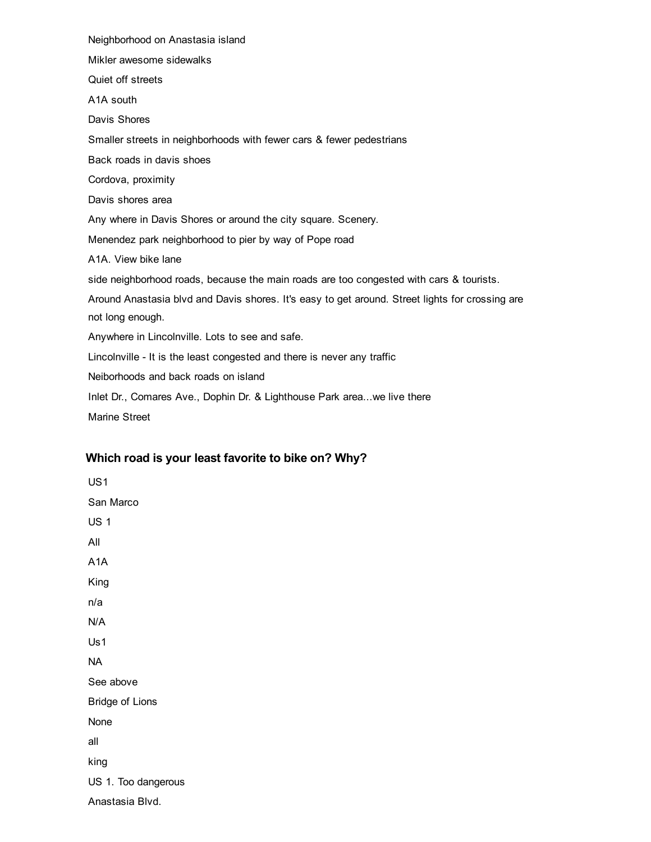Neighborhood on Anastasia island Mikler awesome sidewalks Quiet off streets A1A south Davis Shores Smaller streets in neighborhoods with fewer cars & fewer pedestrians Back roads in davis shoes Cordova, proximity Davis shores area Any where in Davis Shores or around the city square. Scenery. Menendez park neighborhood to pier by way of Pope road A1A. View bike lane side neighborhood roads, because the main roads are too congested with cars & tourists. Around Anastasia blvd and Davis shores. It's easy to get around. Street lights for crossing are not long enough. Anywhere in Lincolnville. Lots to see and safe. Lincolnville - It is the least congested and there is never any traffic Neiborhoods and back roads on island Inlet Dr., Comares Ave., Dophin Dr. & Lighthouse Park area...we live there

Marine Street

# Which road is your least favorite to bike on? Why?

US1 San Marco US 1 All A1A King n/a N/A Us1 NA See above Bridge of Lions None all king US 1. Too dangerous Anastasia Blvd.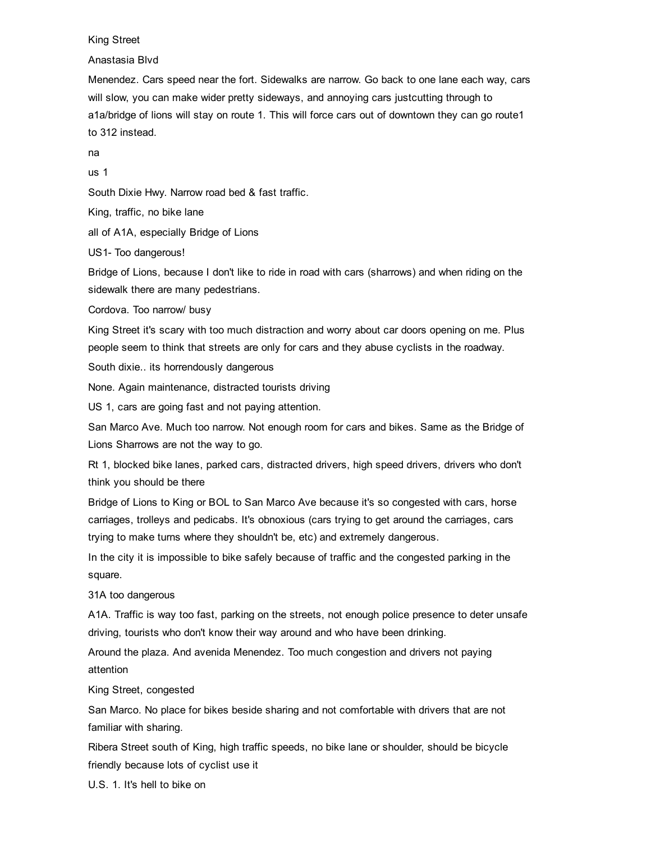#### King Street

Anastasia Blvd

Menendez. Cars speed near the fort. Sidewalks are narrow. Go back to one lane each way, cars will slow, you can make wider pretty sideways, and annoying cars justcutting through to a1a/bridge of lions will stay on route 1. This will force cars out of downtown they can go route1 to 312 instead.

na

us 1

South Dixie Hwy. Narrow road bed & fast traffic.

King, traffic, no bike lane

all of A1A, especially Bridge of Lions

US1- Too dangerous!

Bridge of Lions, because I don't like to ride in road with cars (sharrows) and when riding on the sidewalk there are many pedestrians.

Cordova. Too narrow/ busy

King Street it's scary with too much distraction and worry about car doors opening on me. Plus people seem to think that streets are only for cars and they abuse cyclists in the roadway.

South dixie.. its horrendously dangerous

None. Again maintenance, distracted tourists driving

US 1, cars are going fast and not paying attention.

San Marco Ave. Much too narrow. Not enough room for cars and bikes. Same as the Bridge of Lions Sharrows are not the way to go.

Rt 1, blocked bike lanes, parked cars, distracted drivers, high speed drivers, drivers who don't think you should be there

Bridge of Lions to King or BOL to San Marco Ave because it's so congested with cars, horse carriages, trolleys and pedicabs. It's obnoxious (cars trying to get around the carriages, cars trying to make turns where they shouldn't be, etc) and extremely dangerous.

In the city it is impossible to bike safely because of traffic and the congested parking in the square.

31A too dangerous

A1A. Traffic is way too fast, parking on the streets, not enough police presence to deter unsafe driving, tourists who don't know their way around and who have been drinking.

Around the plaza. And avenida Menendez. Too much congestion and drivers not paying attention

King Street, congested

San Marco. No place for bikes beside sharing and not comfortable with drivers that are not familiar with sharing.

Ribera Street south of King, high traffic speeds, no bike lane or shoulder, should be bicycle friendly because lots of cyclist use it

U.S. 1. It's hell to bike on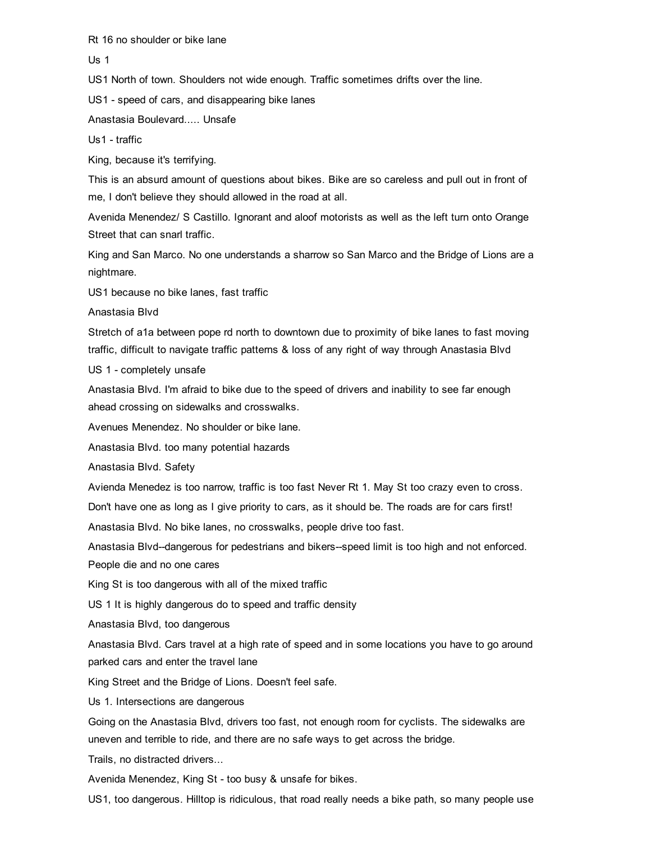Rt 16 no shoulder or bike lane

Us 1

US1 North of town. Shoulders not wide enough. Traffic sometimes drifts over the line.

US1 - speed of cars, and disappearing bike lanes

Anastasia Boulevard..... Unsafe

Us1 - traffic

King, because it's terrifying.

This is an absurd amount of questions about bikes. Bike are so careless and pull out in front of me, I don't believe they should allowed in the road at all.

Avenida Menendez/ S Castillo. Ignorant and aloof motorists as well as the left turn onto Orange Street that can snarl traffic.

King and San Marco. No one understands a sharrow so San Marco and the Bridge of Lions are a nightmare.

US1 because no bike lanes, fast traffic

Anastasia Blvd

Stretch of a1a between pope rd north to downtown due to proximity of bike lanes to fast moving traffic, difficult to navigate traffic patterns & loss of any right of way through Anastasia Blvd

US 1 - completely unsafe

Anastasia Blvd. I'm afraid to bike due to the speed of drivers and inability to see far enough ahead crossing on sidewalks and crosswalks.

Avenues Menendez. No shoulder or bike lane.

Anastasia Blvd. too many potential hazards

Anastasia Blvd. Safety

Avienda Menedez is too narrow, traffic is too fast Never Rt 1. May St too crazy even to cross.

Don't have one as long as I give priority to cars, as it should be. The roads are for cars first!

Anastasia Blvd. No bike lanes, no crosswalks, people drive too fast.

Anastasia Blvd--dangerous for pedestrians and bikers--speed limit is too high and not enforced. People die and no one cares

King St is too dangerous with all of the mixed traffic

US 1 It is highly dangerous do to speed and traffic density

Anastasia Blvd, too dangerous

Anastasia Blvd. Cars travel at a high rate of speed and in some locations you have to go around parked cars and enter the travel lane

King Street and the Bridge of Lions. Doesn't feel safe.

Us 1. Intersections are dangerous

Going on the Anastasia Blvd, drivers too fast, not enough room for cyclists. The sidewalks are uneven and terrible to ride, and there are no safe ways to get across the bridge.

Trails, no distracted drivers...

Avenida Menendez, King St - too busy & unsafe for bikes.

US1, too dangerous. Hilltop is ridiculous, that road really needs a bike path, so many people use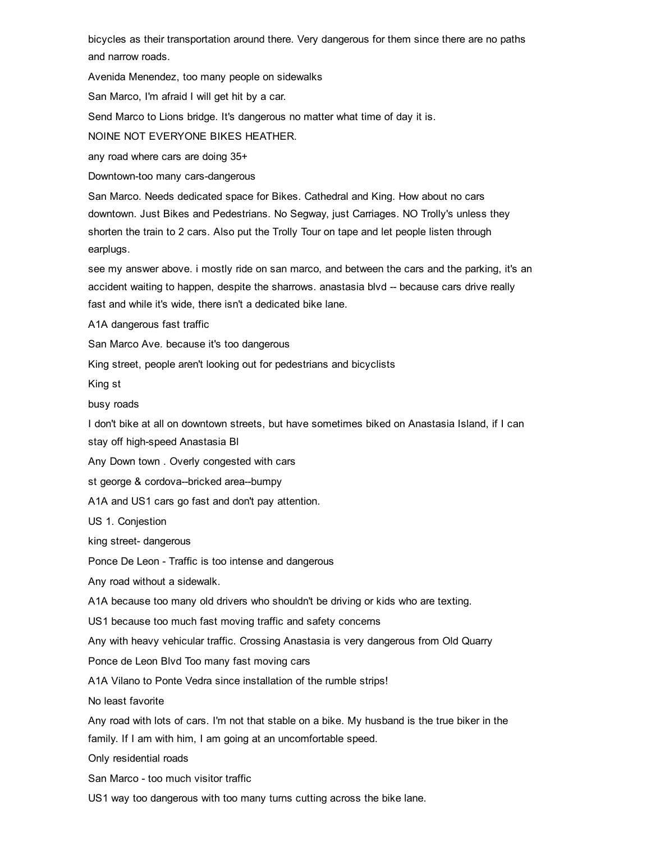bicycles as their transportation around there. Very dangerous for them since there are no paths and narrow roads.

Avenida Menendez, too many people on sidewalks

San Marco, I'm afraid I will get hit by a car.

Send Marco to Lions bridge. It's dangerous no matter what time of day it is.

NOINE NOT EVERYONE BIKES HEATHER.

any road where cars are doing 35+

Downtown-too many cars-dangerous

San Marco. Needs dedicated space for Bikes. Cathedral and King. How about no cars downtown. Just Bikes and Pedestrians. No Segway, just Carriages. NO Trolly's unless they shorten the train to 2 cars. Also put the Trolly Tour on tape and let people listen through earplugs.

see my answer above. i mostly ride on san marco, and between the cars and the parking, it's an accident waiting to happen, despite the sharrows. anastasia blvd -- because cars drive really fast and while it's wide, there isn't a dedicated bike lane.

A1A dangerous fast traffic

San Marco Ave. because it's too dangerous

King street, people aren't looking out for pedestrians and bicyclists

King st

busy roads

I don't bike at all on downtown streets, but have sometimes biked on Anastasia Island, if I can stay off high-speed Anastasia Bl

Any Down town . Overly congested with cars

st george & cordova--bricked area--bumpy

A1A and US1 cars go fast and don't pay attention.

US 1. Conjestion

king street- dangerous

Ponce De Leon - Traffic is too intense and dangerous

Any road without a sidewalk.

A1A because too many old drivers who shouldn't be driving or kids who are texting.

US1 because too much fast moving traffic and safety concerns

Any with heavy vehicular traffic. Crossing Anastasia is very dangerous from Old Quarry

Ponce de Leon Blvd Too many fast moving cars

A1A Vilano to Ponte Vedra since installation of the rumble strips!

No least favorite

Any road with lots of cars. I'm not that stable on a bike. My husband is the true biker in the family. If I am with him, I am going at an uncomfortable speed.

Only residential roads

San Marco - too much visitor traffic

US1 way too dangerous with too many turns cutting across the bike lane.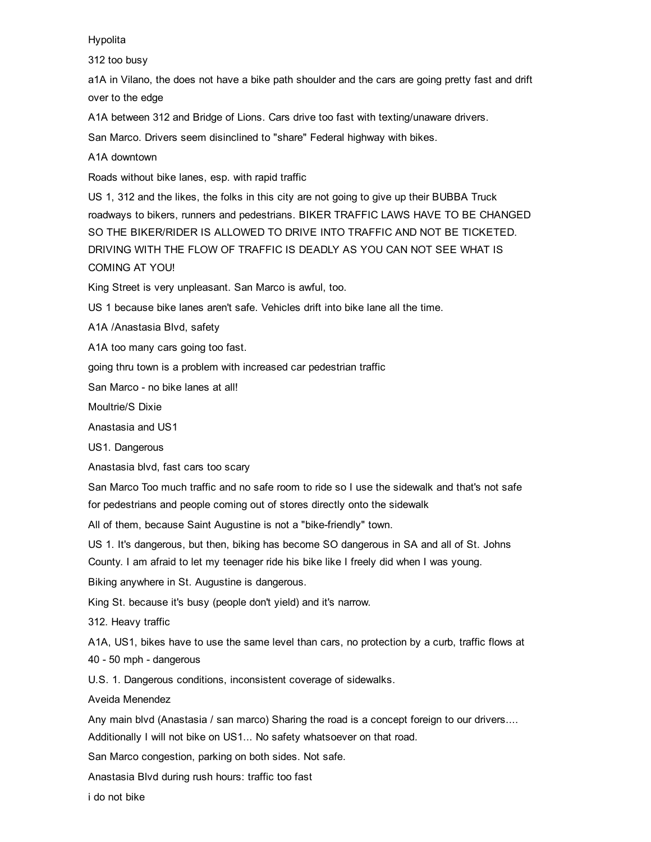#### Hypolita

312 too busy

a1A in Vilano, the does not have a bike path shoulder and the cars are going pretty fast and drift over to the edge

A1A between 312 and Bridge of Lions. Cars drive too fast with texting/unaware drivers.

San Marco. Drivers seem disinclined to "share" Federal highway with bikes.

A1A downtown

Roads without bike lanes, esp. with rapid traffic

US 1, 312 and the likes, the folks in this city are not going to give up their BUBBA Truck roadways to bikers, runners and pedestrians. BIKER TRAFFIC LAWS HAVE TO BE CHANGED SO THE BIKER/RIDER IS ALLOWED TO DRIVE INTO TRAFFIC AND NOT BE TICKETED. DRIVING WITH THE FLOW OF TRAFFIC IS DEADLY AS YOU CAN NOT SEE WHAT IS COMING AT YOU!

King Street is very unpleasant. San Marco is awful, too.

US 1 because bike lanes aren't safe. Vehicles drift into bike lane all the time.

A1A /Anastasia Blvd, safety

A1A too many cars going too fast.

going thru town is a problem with increased car pedestrian traffic

San Marco - no bike lanes at all!

Moultrie/S Dixie

Anastasia and US1

US1. Dangerous

Anastasia blvd, fast cars too scary

San Marco Too much traffic and no safe room to ride so I use the sidewalk and that's not safe for pedestrians and people coming out of stores directly onto the sidewalk

All of them, because Saint Augustine is not a "bike-friendly" town.

US 1. It's dangerous, but then, biking has become SO dangerous in SA and all of St. Johns

County. I am afraid to let my teenager ride his bike like I freely did when I was young.

Biking anywhere in St. Augustine is dangerous.

King St. because it's busy (people don't yield) and it's narrow.

312. Heavy traffic

A1A, US1, bikes have to use the same level than cars, no protection by a curb, traffic flows at 40 - 50 mph - dangerous

U.S. 1. Dangerous conditions, inconsistent coverage of sidewalks.

Aveida Menendez

Any main blvd (Anastasia / san marco) Sharing the road is a concept foreign to our drivers....

Additionally I will not bike on US1... No safety whatsoever on that road.

San Marco congestion, parking on both sides. Not safe.

Anastasia Blvd during rush hours: traffic too fast

i do not bike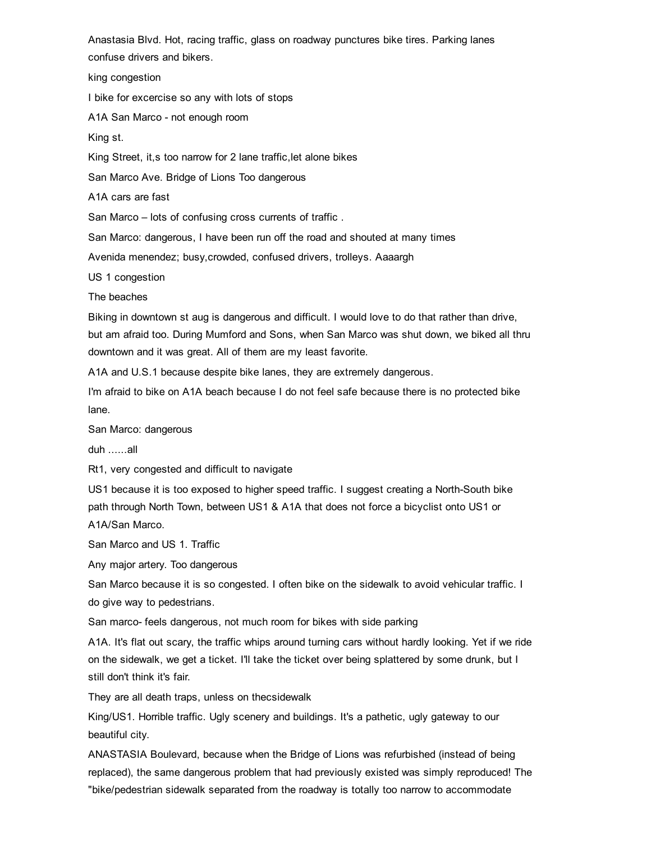Anastasia Blvd. Hot, racing traffic, glass on roadway punctures bike tires. Parking lanes confuse drivers and bikers.

king congestion

I bike for excercise so any with lots of stops

A1A San Marco - not enough room

King st.

King Street, it,s too narrow for 2 lane traffic,let alone bikes

San Marco Ave. Bridge of Lions Too dangerous

A1A cars are fast

San Marco – lots of confusing cross currents of traffic .

San Marco: dangerous, I have been run off the road and shouted at many times

Avenida menendez; busy,crowded, confused drivers, trolleys. Aaaargh

US 1 congestion

The beaches

Biking in downtown st aug is dangerous and difficult. I would love to do that rather than drive, but am afraid too. During Mumford and Sons, when San Marco was shut down, we biked all thru downtown and it was great. All of them are my least favorite.

A1A and U.S.1 because despite bike lanes, they are extremely dangerous.

I'm afraid to bike on A1A beach because I do not feel safe because there is no protected bike lane.

San Marco: dangerous

duh ......all

Rt1, very congested and difficult to navigate

US1 because it is too exposed to higher speed traffic. I suggest creating a North-South bike path through North Town, between US1 & A1A that does not force a bicyclist onto US1 or A1A/San Marco.

San Marco and US 1. Traffic

Any major artery. Too dangerous

San Marco because it is so congested. I often bike on the sidewalk to avoid vehicular traffic. I do give way to pedestrians.

San marco- feels dangerous, not much room for bikes with side parking

A1A. It's flat out scary, the traffic whips around turning cars without hardly looking. Yet if we ride on the sidewalk, we get a ticket. I'll take the ticket over being splattered by some drunk, but I still don't think it's fair.

They are all death traps, unless on thecsidewalk

King/US1. Horrible traffic. Ugly scenery and buildings. It's a pathetic, ugly gateway to our beautiful city.

ANASTASIA Boulevard, because when the Bridge of Lions was refurbished (instead of being replaced), the same dangerous problem that had previously existed was simply reproduced! The "bike/pedestrian sidewalk separated from the roadway is totally too narrow to accommodate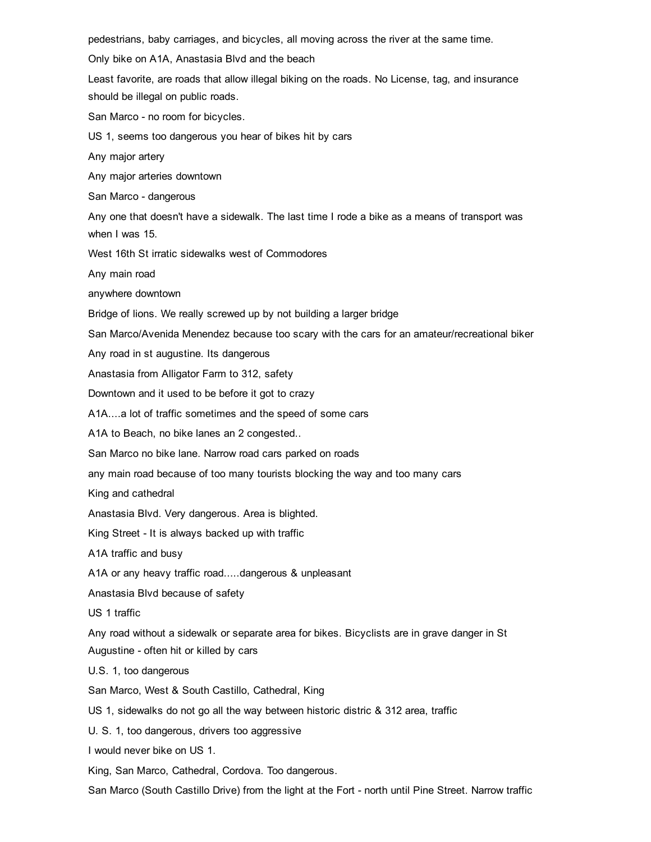pedestrians, baby carriages, and bicycles, all moving across the river at the same time.

Only bike on A1A, Anastasia Blvd and the beach

Least favorite, are roads that allow illegal biking on the roads. No License, tag, and insurance should be illegal on public roads.

San Marco - no room for bicycles.

US 1, seems too dangerous you hear of bikes hit by cars

Any major artery

Any major arteries downtown

San Marco - dangerous

Any one that doesn't have a sidewalk. The last time I rode a bike as a means of transport was when I was 15.

West 16th St irratic sidewalks west of Commodores

Any main road

anywhere downtown

Bridge of lions. We really screwed up by not building a larger bridge

San Marco/Avenida Menendez because too scary with the cars for an amateur/recreational biker

Any road in st augustine. Its dangerous

Anastasia from Alligator Farm to 312, safety

Downtown and it used to be before it got to crazy

A1A....a lot of traffic sometimes and the speed of some cars

A1A to Beach, no bike lanes an 2 congested..

San Marco no bike lane. Narrow road cars parked on roads

any main road because of too many tourists blocking the way and too many cars

King and cathedral

Anastasia Blvd. Very dangerous. Area is blighted.

King Street - It is always backed up with traffic

A1A traffic and busy

A1A or any heavy traffic road.....dangerous & unpleasant

Anastasia Blvd because of safety

US 1 traffic

Any road without a sidewalk or separate area for bikes. Bicyclists are in grave danger in St Augustine - often hit or killed by cars

U.S. 1, too dangerous

San Marco, West & South Castillo, Cathedral, King

US 1, sidewalks do not go all the way between historic distric & 312 area, traffic

U. S. 1, too dangerous, drivers too aggressive

I would never bike on US 1.

King, San Marco, Cathedral, Cordova. Too dangerous.

San Marco (South Castillo Drive) from the light at the Fort - north until Pine Street. Narrow traffic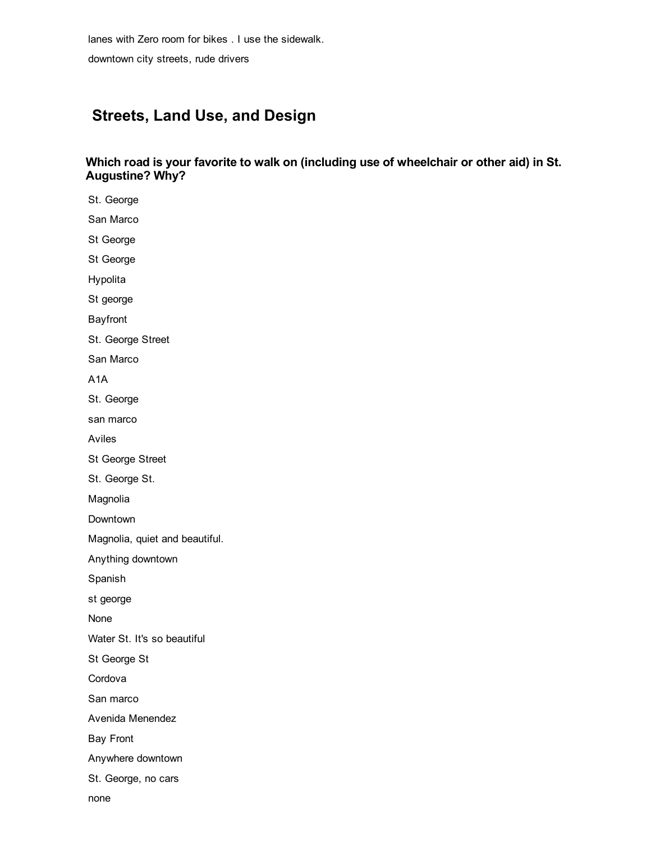lanes with Zero room for bikes . I use the sidewalk.

downtown city streets, rude drivers

# Streets, Land Use, and Design

# Which road is your favorite to walk on (including use of wheelchair or other aid) in St. Augustine? Why?

St. George San Marco St George St George Hypolita St george Bayfront St. George Street San Marco A1A St. George san marco Aviles St George Street St. George St. Magnolia Downtown Magnolia, quiet and beautiful. Anything downtown Spanish st george None Water St. It's so beautiful St George St Cordova San marco Avenida Menendez Bay Front Anywhere downtown St. George, no cars

none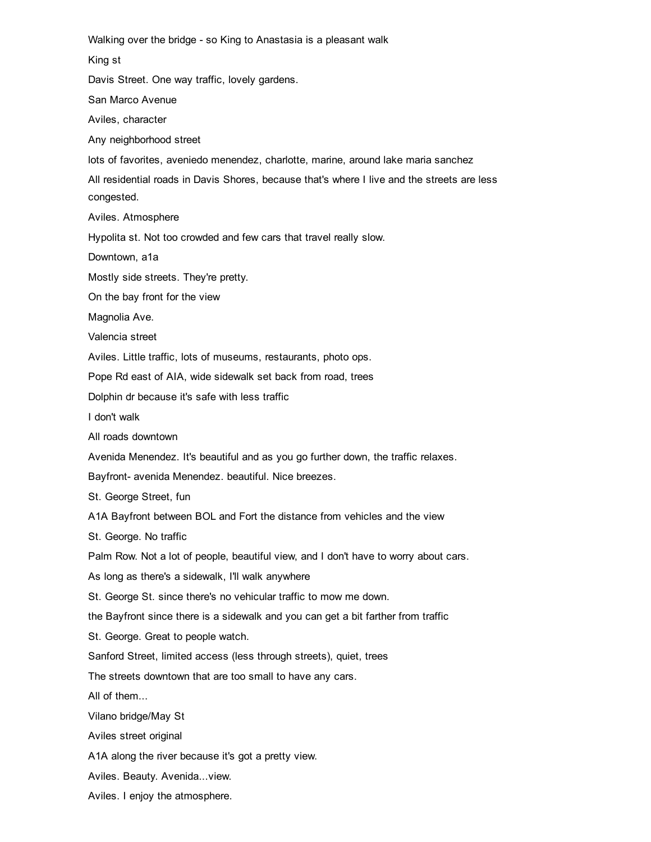Walking over the bridge - so King to Anastasia is a pleasant walk King st Davis Street. One way traffic, lovely gardens. San Marco Avenue Aviles, character Any neighborhood street lots of favorites, aveniedo menendez, charlotte, marine, around lake maria sanchez All residential roads in Davis Shores, because that's where I live and the streets are less congested. Aviles. Atmosphere Hypolita st. Not too crowded and few cars that travel really slow. Downtown, a1a Mostly side streets. They're pretty.

On the bay front for the view

Magnolia Ave.

Valencia street

Aviles. Little traffic, lots of museums, restaurants, photo ops.

Pope Rd east of AIA, wide sidewalk set back from road, trees

Dolphin dr because it's safe with less traffic

I don't walk

All roads downtown

Avenida Menendez. It's beautiful and as you go further down, the traffic relaxes.

Bayfront- avenida Menendez. beautiful. Nice breezes.

St. George Street, fun

A1A Bayfront between BOL and Fort the distance from vehicles and the view

St. George. No traffic

Palm Row. Not a lot of people, beautiful view, and I don't have to worry about cars.

As long as there's a sidewalk, I'll walk anywhere

St. George St. since there's no vehicular traffic to mow me down.

the Bayfront since there is a sidewalk and you can get a bit farther from traffic

St. George. Great to people watch.

Sanford Street, limited access (less through streets), quiet, trees

The streets downtown that are too small to have any cars.

All of them...

Vilano bridge/May St

Aviles street original

A1A along the river because it's got a pretty view.

Aviles. Beauty. Avenida...view.

Aviles. I enjoy the atmosphere.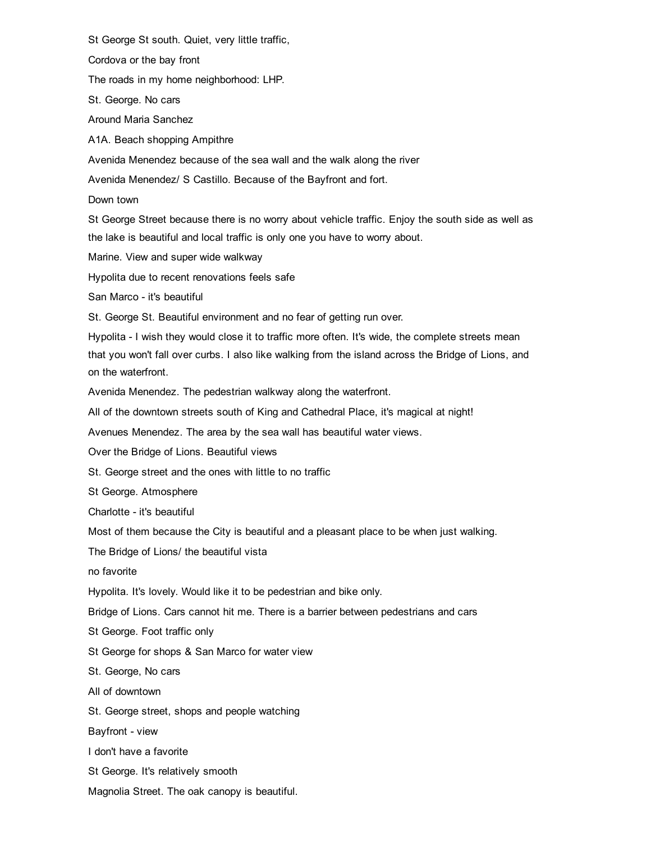St George St south. Quiet, very little traffic,

Cordova or the bay front

The roads in my home neighborhood: LHP.

St. George. No cars

Around Maria Sanchez

A1A. Beach shopping Ampithre

Avenida Menendez because of the sea wall and the walk along the river

Avenida Menendez/ S Castillo. Because of the Bayfront and fort.

Down town

St George Street because there is no worry about vehicle traffic. Enjoy the south side as well as the lake is beautiful and local traffic is only one you have to worry about.

Marine. View and super wide walkway

Hypolita due to recent renovations feels safe

San Marco - it's beautiful

St. George St. Beautiful environment and no fear of getting run over.

Hypolita - I wish they would close it to traffic more often. It's wide, the complete streets mean that you won't fall over curbs. I also like walking from the island across the Bridge of Lions, and on the waterfront.

Avenida Menendez. The pedestrian walkway along the waterfront.

All of the downtown streets south of King and Cathedral Place, it's magical at night!

Avenues Menendez. The area by the sea wall has beautiful water views.

Over the Bridge of Lions. Beautiful views

St. George street and the ones with little to no traffic

St George. Atmosphere

Charlotte - it's beautiful

Most of them because the City is beautiful and a pleasant place to be when just walking.

The Bridge of Lions/ the beautiful vista

no favorite

Hypolita. It's lovely. Would like it to be pedestrian and bike only.

Bridge of Lions. Cars cannot hit me. There is a barrier between pedestrians and cars

St George. Foot traffic only

St George for shops & San Marco for water view

St. George, No cars

All of downtown

St. George street, shops and people watching

Bayfront - view

I don't have a favorite

St George. It's relatively smooth

Magnolia Street. The oak canopy is beautiful.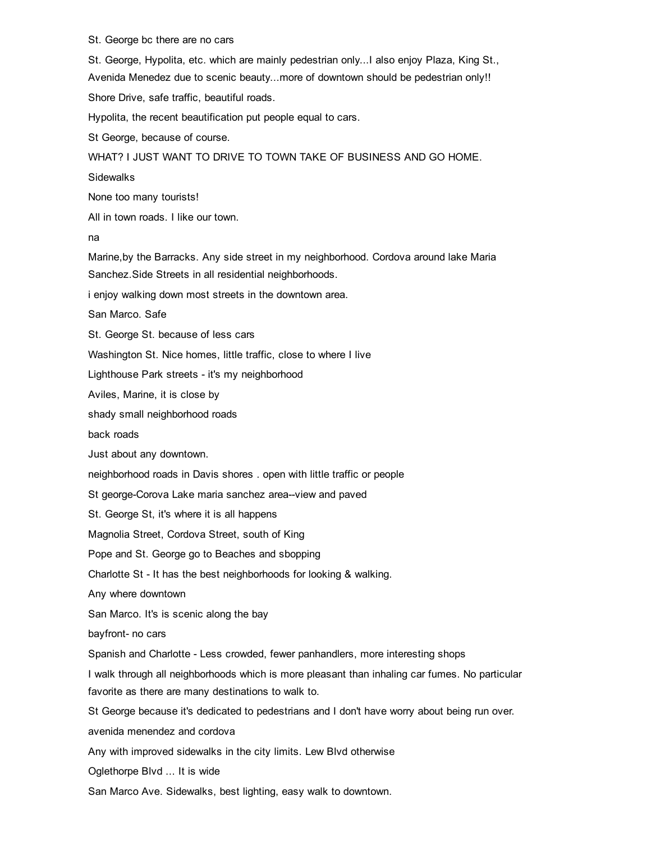#### St. George bc there are no cars

St. George, Hypolita, etc. which are mainly pedestrian only...I also enjoy Plaza, King St., Avenida Menedez due to scenic beauty...more of downtown should be pedestrian only!! Shore Drive, safe traffic, beautiful roads.

Hypolita, the recent beautification put people equal to cars.

St George, because of course.

WHAT? I JUST WANT TO DRIVE TO TOWN TAKE OF BUSINESS AND GO HOME.

**Sidewalks** 

None too many tourists!

All in town roads. I like our town.

na

Marine,by the Barracks. Any side street in my neighborhood. Cordova around lake Maria Sanchez.Side Streets in all residential neighborhoods.

i enjoy walking down most streets in the downtown area.

San Marco. Safe

St. George St. because of less cars

Washington St. Nice homes, little traffic, close to where I live

Lighthouse Park streets - it's my neighborhood

Aviles, Marine, it is close by

shady small neighborhood roads

back roads

Just about any downtown.

neighborhood roads in Davis shores . open with little traffic or people

St george-Corova Lake maria sanchez area--view and paved

St. George St, it's where it is all happens

Magnolia Street, Cordova Street, south of King

Pope and St. George go to Beaches and sbopping

Charlotte St - It has the best neighborhoods for looking & walking.

Any where downtown

San Marco. It's is scenic along the bay

bayfront- no cars

Spanish and Charlotte - Less crowded, fewer panhandlers, more interesting shops

I walk through all neighborhoods which is more pleasant than inhaling car fumes. No particular favorite as there are many destinations to walk to.

St George because it's dedicated to pedestrians and I don't have worry about being run over.

avenida menendez and cordova

Any with improved sidewalks in the city limits. Lew Blvd otherwise

Oglethorpe Blvd ... It is wide

San Marco Ave. Sidewalks, best lighting, easy walk to downtown.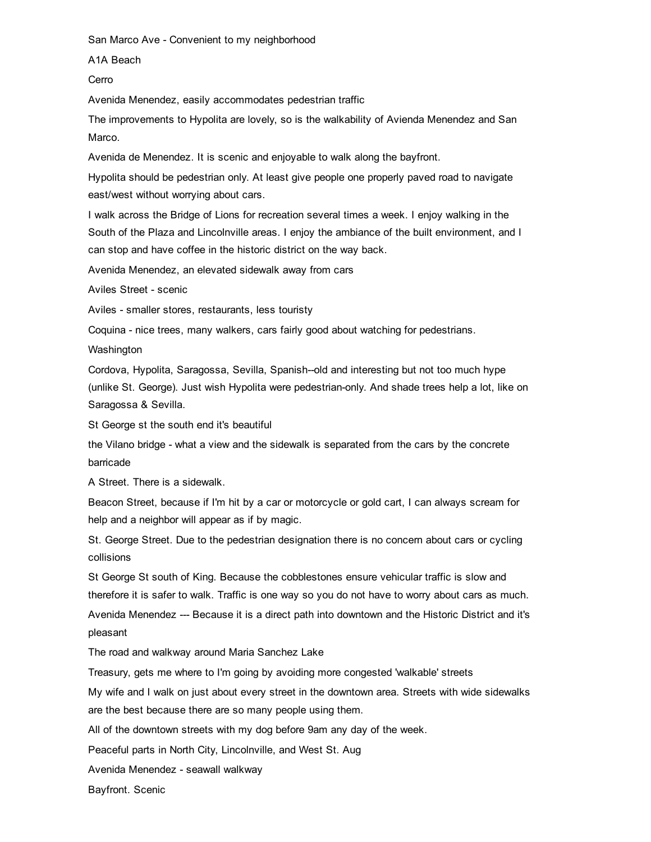San Marco Ave - Convenient to my neighborhood

A1A Beach

Cerro

Avenida Menendez, easily accommodates pedestrian traffic

The improvements to Hypolita are lovely, so is the walkability of Avienda Menendez and San Marco.

Avenida de Menendez. It is scenic and enjoyable to walk along the bayfront.

Hypolita should be pedestrian only. At least give people one properly paved road to navigate east/west without worrying about cars.

I walk across the Bridge of Lions for recreation several times a week. I enjoy walking in the South of the Plaza and Lincolnville areas. I enjoy the ambiance of the built environment, and I can stop and have coffee in the historic district on the way back.

Avenida Menendez, an elevated sidewalk away from cars

Aviles Street - scenic

Aviles - smaller stores, restaurants, less touristy

Coquina - nice trees, many walkers, cars fairly good about watching for pedestrians.

Washington

Cordova, Hypolita, Saragossa, Sevilla, Spanish--old and interesting but not too much hype (unlike St. George). Just wish Hypolita were pedestrian-only. And shade trees help a lot, like on Saragossa & Sevilla.

St George st the south end it's beautiful

the Vilano bridge - what a view and the sidewalk is separated from the cars by the concrete barricade

A Street. There is a sidewalk.

Beacon Street, because if I'm hit by a car or motorcycle or gold cart, I can always scream for help and a neighbor will appear as if by magic.

St. George Street. Due to the pedestrian designation there is no concern about cars or cycling collisions

St George St south of King. Because the cobblestones ensure vehicular traffic is slow and therefore it is safer to walk. Traffic is one way so you do not have to worry about cars as much.

Avenida Menendez --- Because it is a direct path into downtown and the Historic District and it's pleasant

The road and walkway around Maria Sanchez Lake

Treasury, gets me where to I'm going by avoiding more congested 'walkable' streets

My wife and I walk on just about every street in the downtown area. Streets with wide sidewalks are the best because there are so many people using them.

All of the downtown streets with my dog before 9am any day of the week.

Peaceful parts in North City, Lincolnville, and West St. Aug

Avenida Menendez - seawall walkway

Bayfront. Scenic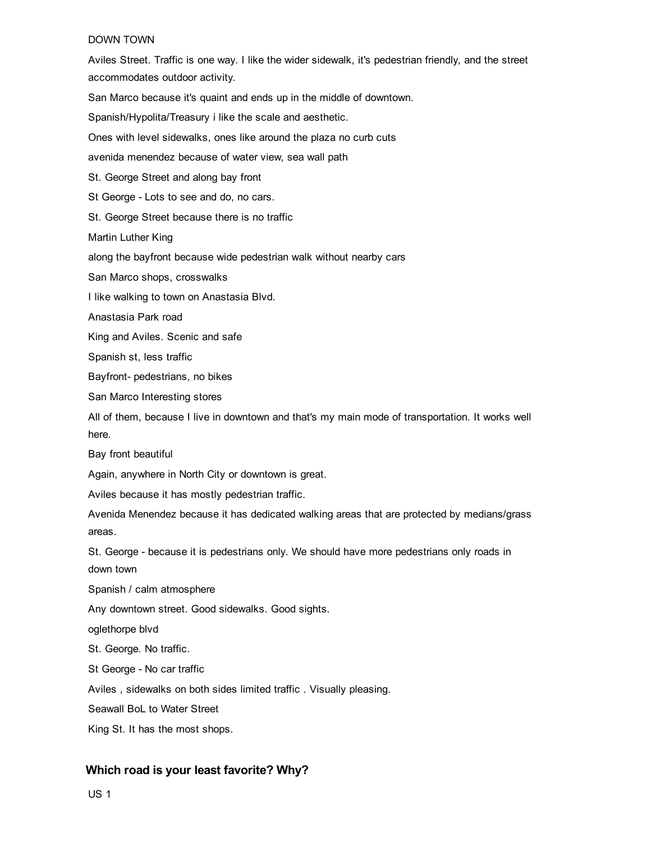#### DOWN TOWN

Aviles Street. Traffic is one way. I like the wider sidewalk, it's pedestrian friendly, and the street accommodates outdoor activity. San Marco because it's quaint and ends up in the middle of downtown. Spanish/Hypolita/Treasury i like the scale and aesthetic. Ones with level sidewalks, ones like around the plaza no curb cuts avenida menendez because of water view, sea wall path St. George Street and along bay front St George - Lots to see and do, no cars. St. George Street because there is no traffic Martin Luther King along the bayfront because wide pedestrian walk without nearby cars San Marco shops, crosswalks I like walking to town on Anastasia Blvd. Anastasia Park road King and Aviles. Scenic and safe Spanish st, less traffic Bayfront- pedestrians, no bikes San Marco Interesting stores All of them, because I live in downtown and that's my main mode of transportation. It works well here. Bay front beautiful Again, anywhere in North City or downtown is great. Aviles because it has mostly pedestrian traffic. Avenida Menendez because it has dedicated walking areas that are protected by medians/grass areas. St. George - because it is pedestrians only. We should have more pedestrians only roads in down town Spanish / calm atmosphere Any downtown street. Good sidewalks. Good sights. oglethorpe blvd St. George. No traffic. St George - No car traffic Aviles , sidewalks on both sides limited traffic . Visually pleasing. Seawall BoL to Water Street King St. It has the most shops.

# Which road is your least favorite? Why?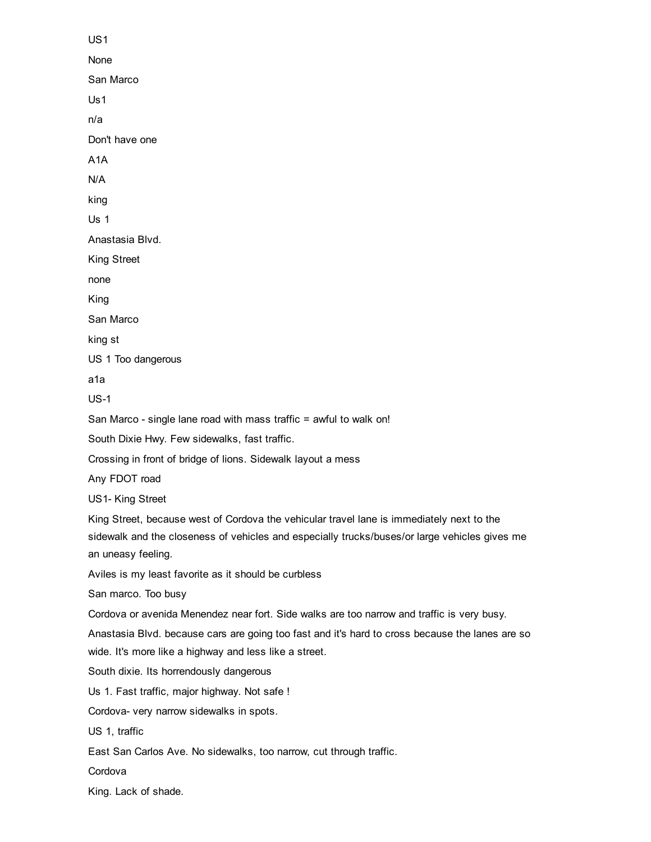US1 None San Marco Us1 n/a Don't have one A1A N/A king Us 1 Anastasia Blvd. King Street none King San Marco king st US 1 Too dangerous a1a  $US-1$ San Marco - single lane road with mass traffic = awful to walk on! South Dixie Hwy. Few sidewalks, fast traffic. Crossing in front of bridge of lions. Sidewalk layout a mess Any FDOT road US1-King Street King Street, because west of Cordova the vehicular travel lane is immediately next to the sidewalk and the closeness of vehicles and especially trucks/buses/or large vehicles gives me an uneasy feeling. Aviles is my least favorite as it should be curbless San marco. Too busy Cordova or avenida Menendez near fort. Side walks are too narrow and traffic is very busy. Anastasia Blvd. because cars are going too fast and it's hard to cross because the lanes are so wide. It's more like a highway and less like a street. South dixie. Its horrendously dangerous Us 1. Fast traffic, major highway. Not safe ! Cordova- very narrow sidewalks in spots. US 1, traffic East San Carlos Ave. No sidewalks, too narrow, cut through traffic. **Cordova** King. Lack of shade.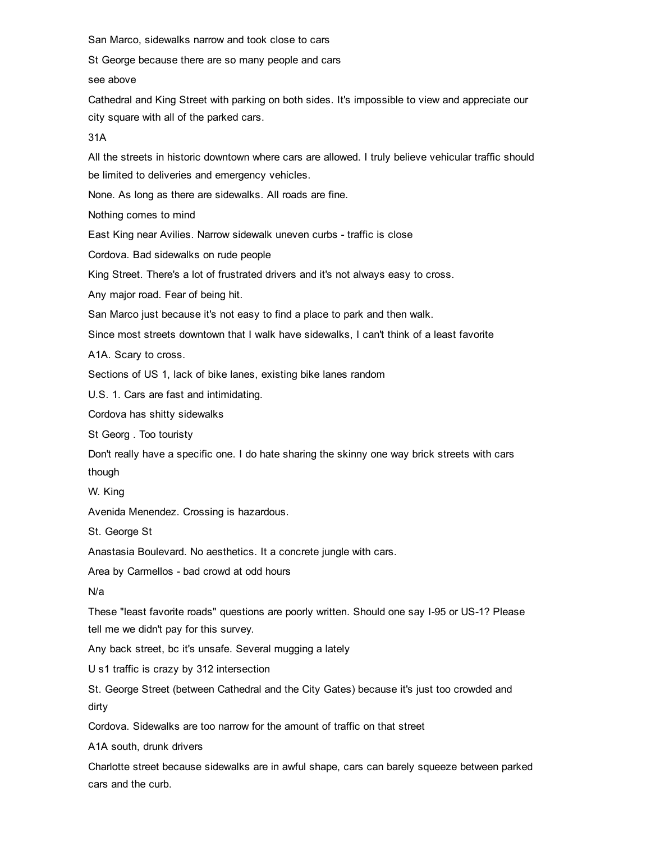San Marco, sidewalks narrow and took close to cars

St George because there are so many people and cars

see above

Cathedral and King Street with parking on both sides. It's impossible to view and appreciate our city square with all of the parked cars.

31A

All the streets in historic downtown where cars are allowed. I truly believe vehicular traffic should be limited to deliveries and emergency vehicles.

None. As long as there are sidewalks. All roads are fine.

Nothing comes to mind

East King near Avilies. Narrow sidewalk uneven curbs - traffic is close

Cordova. Bad sidewalks on rude people

King Street. There's a lot of frustrated drivers and it's not always easy to cross.

Any major road. Fear of being hit.

San Marco just because it's not easy to find a place to park and then walk.

Since most streets downtown that I walk have sidewalks, I can't think of a least favorite

A1A. Scary to cross.

Sections of US 1, lack of bike lanes, existing bike lanes random

U.S. 1. Cars are fast and intimidating.

Cordova has shitty sidewalks

St Georg . Too touristy

Don't really have a specific one. I do hate sharing the skinny one way brick streets with cars though

W. King

Avenida Menendez. Crossing is hazardous.

St. George St

Anastasia Boulevard. No aesthetics. It a concrete jungle with cars.

Area by Carmellos - bad crowd at odd hours

N/a

These "least favorite roads" questions are poorly written. Should one say I-95 or US-1? Please tell me we didn't pay for this survey.

Any back street, bc it's unsafe. Several mugging a lately

U s1 traffic is crazy by 312 intersection

St. George Street (between Cathedral and the City Gates) because it's just too crowded and dirty

Cordova. Sidewalks are too narrow for the amount of traffic on that street

A1A south, drunk drivers

Charlotte street because sidewalks are in awful shape, cars can barely squeeze between parked cars and the curb.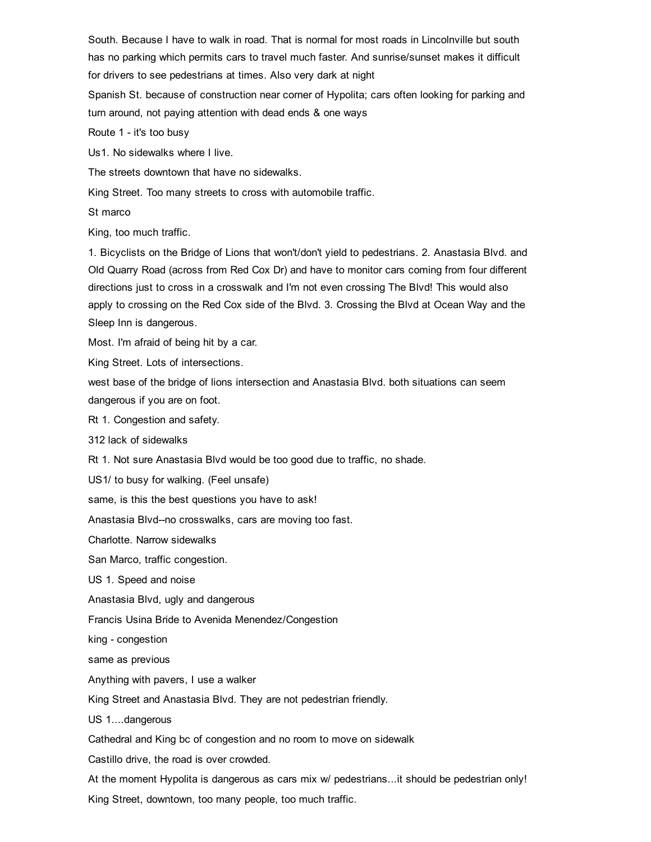South. Because I have to walk in road. That is normal for most roads in Lincolnville but south has no parking which permits cars to travel much faster. And sunrise/sunset makes it difficult for drivers to see pedestrians at times. Also very dark at night

Spanish St. because of construction near corner of Hypolita; cars often looking for parking and turn around, not paying attention with dead ends & one ways

Route 1 - it's too busy

Us1. No sidewalks where I live.

The streets downtown that have no sidewalks.

King Street. Too many streets to cross with automobile traffic.

St marco

King, too much traffic.

1. Bicyclists on the Bridge of Lions that won't/don't yield to pedestrians. 2. Anastasia Blvd. and Old Quarry Road (across from Red Cox Dr) and have to monitor cars coming from four different directions just to cross in a crosswalk and I'm not even crossing The Blvd! This would also apply to crossing on the Red Cox side of the Blvd. 3. Crossing the Blvd at Ocean Way and the Sleep Inn is dangerous.

Most. I'm afraid of being hit by a car.

King Street. Lots of intersections.

west base of the bridge of lions intersection and Anastasia Blvd. both situations can seem dangerous if you are on foot.

Rt 1. Congestion and safety.

312 lack of sidewalks

Rt 1. Not sure Anastasia Blvd would be too good due to traffic, no shade.

US1/ to busy for walking. (Feel unsafe)

same, is this the best questions you have to ask!

Anastasia Blvd--no crosswalks, cars are moving too fast.

Charlotte. Narrow sidewalks

San Marco, traffic congestion.

US 1. Speed and noise

Anastasia Blvd, ugly and dangerous

Francis Usina Bride to Avenida Menendez/Congestion

king - congestion

same as previous

Anything with pavers, I use a walker

King Street and Anastasia Blvd. They are not pedestrian friendly.

US 1....dangerous

Cathedral and King bc of congestion and no room to move on sidewalk

Castillo drive, the road is over crowded.

At the moment Hypolita is dangerous as cars mix w/ pedestrians...it should be pedestrian only!

King Street, downtown, too many people, too much traffic.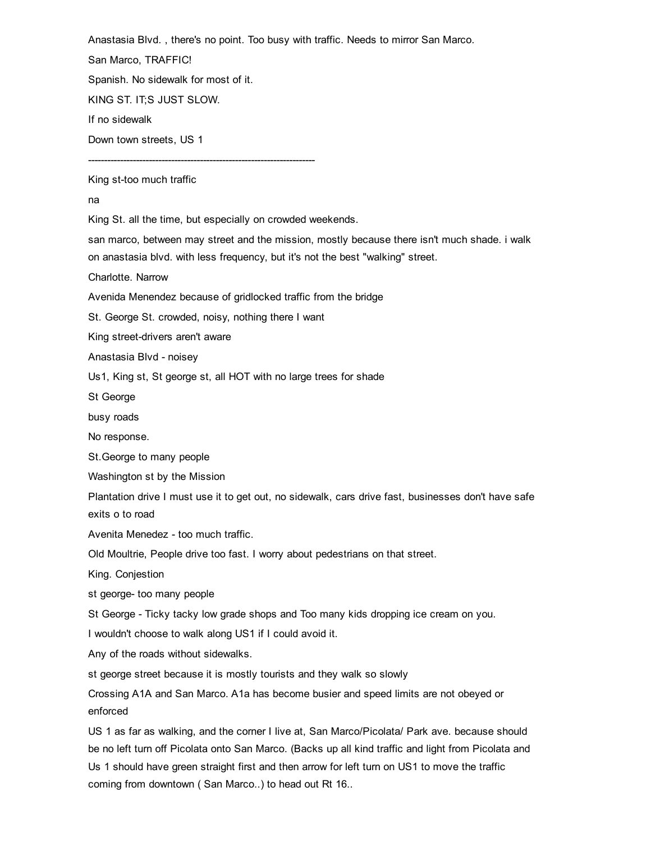Anastasia Blvd. , there's no point. Too busy with traffic. Needs to mirror San Marco.

San Marco, TRAFFIC!

Spanish. No sidewalk for most of it.

KING ST. IT;S JUST SLOW.

If no sidewalk

Down town streets, US 1

King st-too much traffic

na

King St. all the time, but especially on crowded weekends.

san marco, between may street and the mission, mostly because there isn't much shade. i walk on anastasia blvd. with less frequency, but it's not the best "walking" street.

Charlotte. Narrow

Avenida Menendez because of gridlocked traffic from the bridge

St. George St. crowded, noisy, nothing there I want

King street-drivers aren't aware

Anastasia Blvd - noisey

Us1, King st, St george st, all HOT with no large trees for shade

St George

busy roads

No response.

St.George to many people

Washington st by the Mission

Plantation drive I must use it to get out, no sidewalk, cars drive fast, businesses don't have safe exits o to road

Avenita Menedez - too much traffic.

Old Moultrie, People drive too fast. I worry about pedestrians on that street.

King. Conjestion

st george- too many people

St George - Ticky tacky low grade shops and Too many kids dropping ice cream on you.

I wouldn't choose to walk along US1 if I could avoid it.

Any of the roads without sidewalks.

st george street because it is mostly tourists and they walk so slowly

Crossing A1A and San Marco. A1a has become busier and speed limits are not obeyed or enforced

US 1 as far as walking, and the corner I live at, San Marco/Picolata/ Park ave. because should be no left turn off Picolata onto San Marco. (Backs up all kind traffic and light from Picolata and Us 1 should have green straight first and then arrow for left turn on US1 to move the traffic coming from downtown ( San Marco..) to head out Rt 16..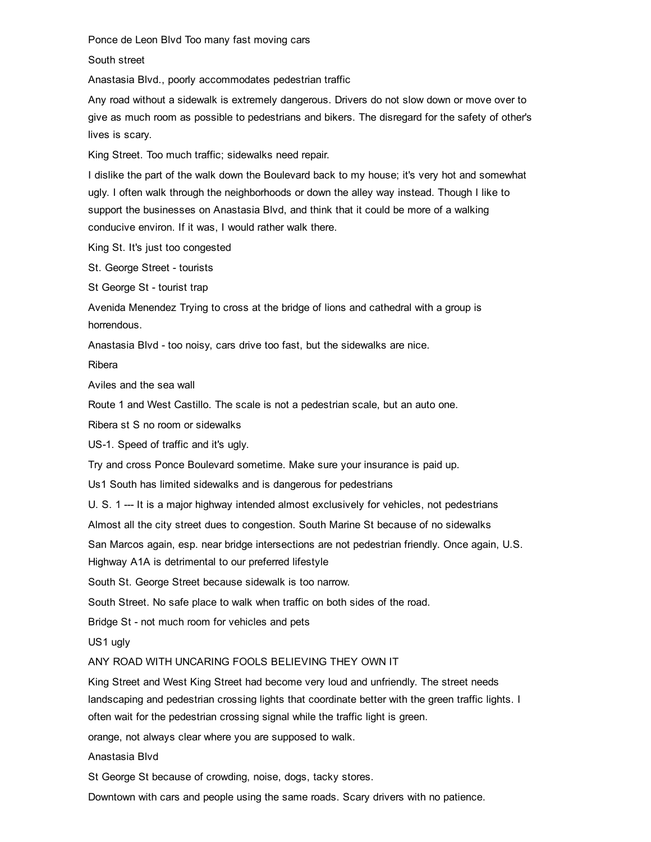Ponce de Leon Blvd Too many fast moving cars

South street

Anastasia Blvd., poorly accommodates pedestrian traffic

Any road without a sidewalk is extremely dangerous. Drivers do not slow down or move over to give as much room as possible to pedestrians and bikers. The disregard for the safety of other's lives is scary.

King Street. Too much traffic; sidewalks need repair.

I dislike the part of the walk down the Boulevard back to my house; it's very hot and somewhat ugly. I often walk through the neighborhoods or down the alley way instead. Though I like to support the businesses on Anastasia Blvd, and think that it could be more of a walking conducive environ. If it was, I would rather walk there.

King St. It's just too congested

St. George Street - tourists

St George St - tourist trap

Avenida Menendez Trying to cross at the bridge of lions and cathedral with a group is horrendous.

Anastasia Blvd - too noisy, cars drive too fast, but the sidewalks are nice.

Ribera

Aviles and the sea wall

Route 1 and West Castillo. The scale is not a pedestrian scale, but an auto one.

Ribera st S no room or sidewalks

US-1. Speed of traffic and it's ugly.

Try and cross Ponce Boulevard sometime. Make sure your insurance is paid up.

Us1 South has limited sidewalks and is dangerous for pedestrians

U. S. 1 --- It is a major highway intended almost exclusively for vehicles, not pedestrians

Almost all the city street dues to congestion. South Marine St because of no sidewalks

San Marcos again, esp. near bridge intersections are not pedestrian friendly. Once again, U.S.

Highway A1A is detrimental to our preferred lifestyle

South St. George Street because sidewalk is too narrow.

South Street. No safe place to walk when traffic on both sides of the road.

Bridge St - not much room for vehicles and pets

US1 ugly

ANY ROAD WITH UNCARING FOOLS BELIEVING THEY OWN IT

King Street and West King Street had become very loud and unfriendly. The street needs landscaping and pedestrian crossing lights that coordinate better with the green traffic lights. I often wait for the pedestrian crossing signal while the traffic light is green.

orange, not always clear where you are supposed to walk.

Anastasia Blvd

St George St because of crowding, noise, dogs, tacky stores.

Downtown with cars and people using the same roads. Scary drivers with no patience.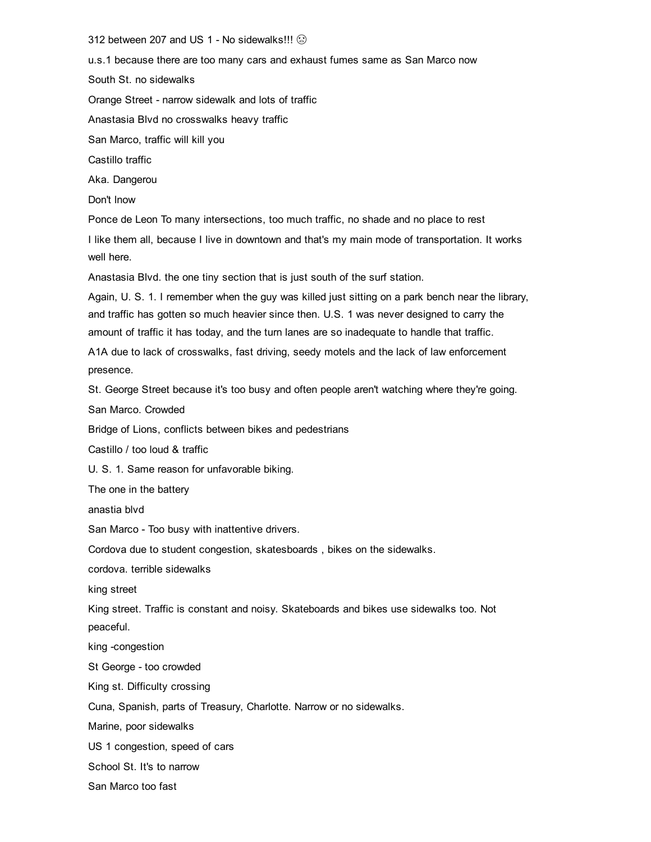312 between 207 and US 1 - No sidewalks!!! ۞

u.s.1 because there are too many cars and exhaust fumes same as San Marco now South St. no sidewalks Orange Street - narrow sidewalk and lots of traffic Anastasia Blvd no crosswalks heavy traffic San Marco, traffic will kill you Castillo traffic Aka. Dangerou Don't lnow Ponce de Leon To many intersections, too much traffic, no shade and no place to rest I like them all, because I live in downtown and that's my main mode of transportation. It works well here.

Anastasia Blvd. the one tiny section that is just south of the surf station.

Again, U. S. 1. I remember when the guy was killed just sitting on a park bench near the library, and traffic has gotten so much heavier since then. U.S. 1 was never designed to carry the amount of traffic it has today, and the turn lanes are so inadequate to handle that traffic.

A1A due to lack of crosswalks, fast driving, seedy motels and the lack of law enforcement presence.

St. George Street because it's too busy and often people aren't watching where they're going.

San Marco. Crowded

Bridge of Lions, conflicts between bikes and pedestrians

Castillo / too loud & traffic

U. S. 1. Same reason for unfavorable biking.

The one in the battery

anastia blvd

San Marco - Too busy with inattentive drivers.

Cordova due to student congestion, skatesboards , bikes on the sidewalks.

cordova. terrible sidewalks

king street

King street. Traffic is constant and noisy. Skateboards and bikes use sidewalks too. Not peaceful.

king -congestion

St George - too crowded

King st. Difficulty crossing

Cuna, Spanish, parts of Treasury, Charlotte. Narrow or no sidewalks.

Marine, poor sidewalks

US 1 congestion, speed of cars

School St. It's to narrow

San Marco too fast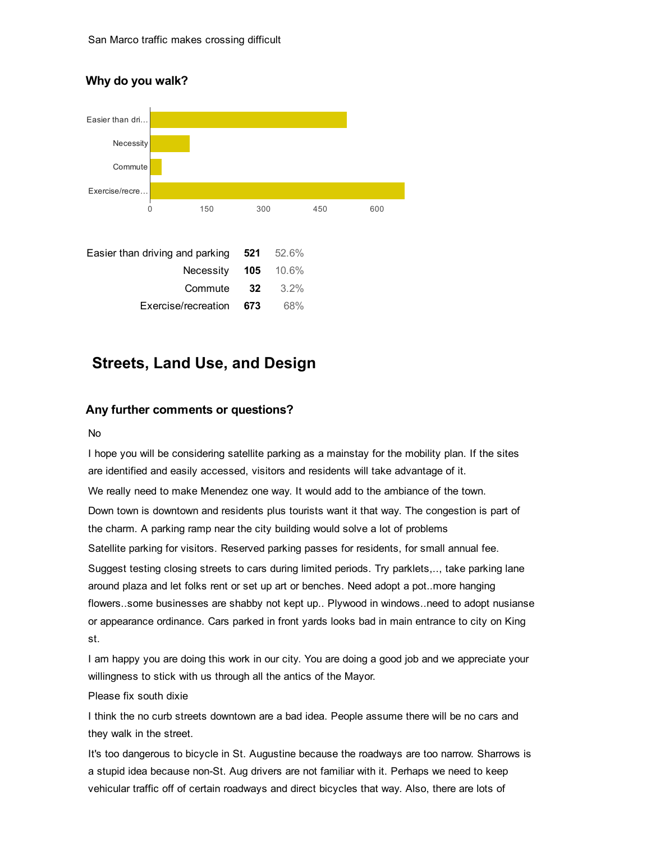# Why do you walk?



# Streets, Land Use, and Design

## Any further comments or questions?

#### No

I hope you will be considering satellite parking as a mainstay for the mobility plan. If the sites are identified and easily accessed, visitors and residents will take advantage of it. We really need to make Menendez one way. It would add to the ambiance of the town. Down town is downtown and residents plus tourists want it that way. The congestion is part of the charm. A parking ramp near the city building would solve a lot of problems Satellite parking for visitors. Reserved parking passes for residents, for small annual fee. Suggest testing closing streets to cars during limited periods. Try parklets,.., take parking lane around plaza and let folks rent or set up art or benches. Need adopt a pot..more hanging flowers..some businesses are shabby not kept up.. Plywood in windows..need to adopt nusianse or appearance ordinance. Cars parked in front yards looks bad in main entrance to city on King st.

I am happy you are doing this work in our city. You are doing a good job and we appreciate your willingness to stick with us through all the antics of the Mayor.

#### Please fix south dixie

I think the no curb streets downtown are a bad idea. People assume there will be no cars and they walk in the street.

It's too dangerous to bicycle in St. Augustine because the roadways are too narrow. Sharrows is a stupid idea because non-St. Aug drivers are not familiar with it. Perhaps we need to keep vehicular traffic off of certain roadways and direct bicycles that way. Also, there are lots of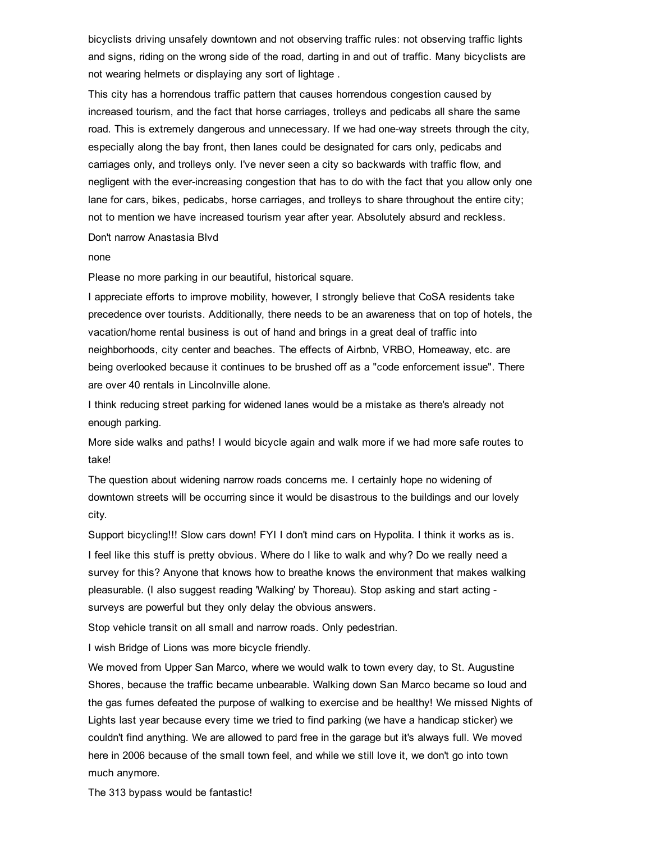bicyclists driving unsafely downtown and not observing traffic rules: not observing traffic lights and signs, riding on the wrong side of the road, darting in and out of traffic. Many bicyclists are not wearing helmets or displaying any sort of lightage .

This city has a horrendous traffic pattern that causes horrendous congestion caused by increased tourism, and the fact that horse carriages, trolleys and pedicabs all share the same road. This is extremely dangerous and unnecessary. If we had one-way streets through the city, especially along the bay front, then lanes could be designated for cars only, pedicabs and carriages only, and trolleys only. I've never seen a city so backwards with traffic flow, and negligent with the everincreasing congestion that has to do with the fact that you allow only one lane for cars, bikes, pedicabs, horse carriages, and trolleys to share throughout the entire city; not to mention we have increased tourism year after year. Absolutely absurd and reckless.

Don't narrow Anastasia Blvd

none

Please no more parking in our beautiful, historical square.

I appreciate efforts to improve mobility, however, I strongly believe that CoSA residents take precedence over tourists. Additionally, there needs to be an awareness that on top of hotels, the vacation/home rental business is out of hand and brings in a great deal of traffic into neighborhoods, city center and beaches. The effects of Airbnb, VRBO, Homeaway, etc. are being overlooked because it continues to be brushed off as a "code enforcement issue". There are over 40 rentals in Lincolnville alone.

I think reducing street parking for widened lanes would be a mistake as there's already not enough parking.

More side walks and paths! I would bicycle again and walk more if we had more safe routes to take!

The question about widening narrow roads concerns me. I certainly hope no widening of downtown streets will be occurring since it would be disastrous to the buildings and our lovely city.

Support bicycling!!! Slow cars down! FYI I don't mind cars on Hypolita. I think it works as is.

I feel like this stuff is pretty obvious. Where do I like to walk and why? Do we really need a survey for this? Anyone that knows how to breathe knows the environment that makes walking pleasurable. (I also suggest reading 'Walking' by Thoreau). Stop asking and start acting surveys are powerful but they only delay the obvious answers.

Stop vehicle transit on all small and narrow roads. Only pedestrian.

I wish Bridge of Lions was more bicycle friendly.

We moved from Upper San Marco, where we would walk to town every day, to St. Augustine Shores, because the traffic became unbearable. Walking down San Marco became so loud and the gas fumes defeated the purpose of walking to exercise and be healthy! We missed Nights of Lights last year because every time we tried to find parking (we have a handicap sticker) we couldn't find anything. We are allowed to pard free in the garage but it's always full. We moved here in 2006 because of the small town feel, and while we still love it, we don't go into town much anymore.

The 313 bypass would be fantastic!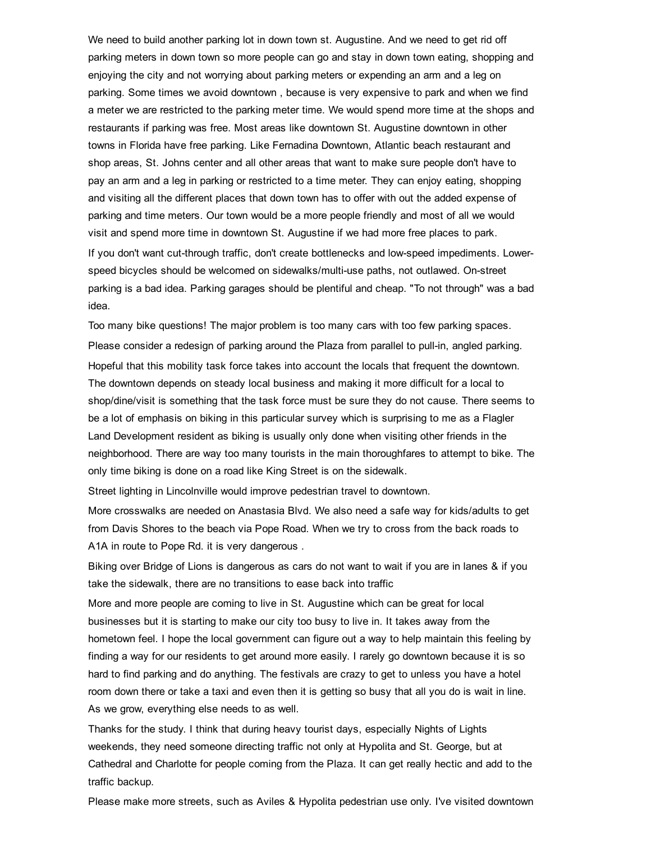We need to build another parking lot in down town st. Augustine. And we need to get rid off parking meters in down town so more people can go and stay in down town eating, shopping and enjoying the city and not worrying about parking meters or expending an arm and a leg on parking. Some times we avoid downtown , because is very expensive to park and when we find a meter we are restricted to the parking meter time. We would spend more time at the shops and restaurants if parking was free. Most areas like downtown St. Augustine downtown in other towns in Florida have free parking. Like Fernadina Downtown, Atlantic beach restaurant and shop areas, St. Johns center and all other areas that want to make sure people don't have to pay an arm and a leg in parking or restricted to a time meter. They can enjoy eating, shopping and visiting all the different places that down town has to offer with out the added expense of parking and time meters. Our town would be a more people friendly and most of all we would visit and spend more time in downtown St. Augustine if we had more free places to park. If you don't want cut-through traffic, don't create bottlenecks and low-speed impediments. Lowerspeed bicycles should be welcomed on sidewalks/multi-use paths, not outlawed. On-street parking is a bad idea. Parking garages should be plentiful and cheap. "To not through" was a bad idea.

Too many bike questions! The major problem is too many cars with too few parking spaces. Please consider a redesign of parking around the Plaza from parallel to pull-in, angled parking. Hopeful that this mobility task force takes into account the locals that frequent the downtown. The downtown depends on steady local business and making it more difficult for a local to shop/dine/visit is something that the task force must be sure they do not cause. There seems to be a lot of emphasis on biking in this particular survey which is surprising to me as a Flagler Land Development resident as biking is usually only done when visiting other friends in the neighborhood. There are way too many tourists in the main thoroughfares to attempt to bike. The only time biking is done on a road like King Street is on the sidewalk.

Street lighting in Lincolnville would improve pedestrian travel to downtown.

More crosswalks are needed on Anastasia Blvd. We also need a safe way for kids/adults to get from Davis Shores to the beach via Pope Road. When we try to cross from the back roads to A1A in route to Pope Rd. it is very dangerous .

Biking over Bridge of Lions is dangerous as cars do not want to wait if you are in lanes & if you take the sidewalk, there are no transitions to ease back into traffic

More and more people are coming to live in St. Augustine which can be great for local businesses but it is starting to make our city too busy to live in. It takes away from the hometown feel. I hope the local government can figure out a way to help maintain this feeling by finding a way for our residents to get around more easily. I rarely go downtown because it is so hard to find parking and do anything. The festivals are crazy to get to unless you have a hotel room down there or take a taxi and even then it is getting so busy that all you do is wait in line. As we grow, everything else needs to as well.

Thanks for the study. I think that during heavy tourist days, especially Nights of Lights weekends, they need someone directing traffic not only at Hypolita and St. George, but at Cathedral and Charlotte for people coming from the Plaza. It can get really hectic and add to the traffic backup.

Please make more streets, such as Aviles & Hypolita pedestrian use only. I've visited downtown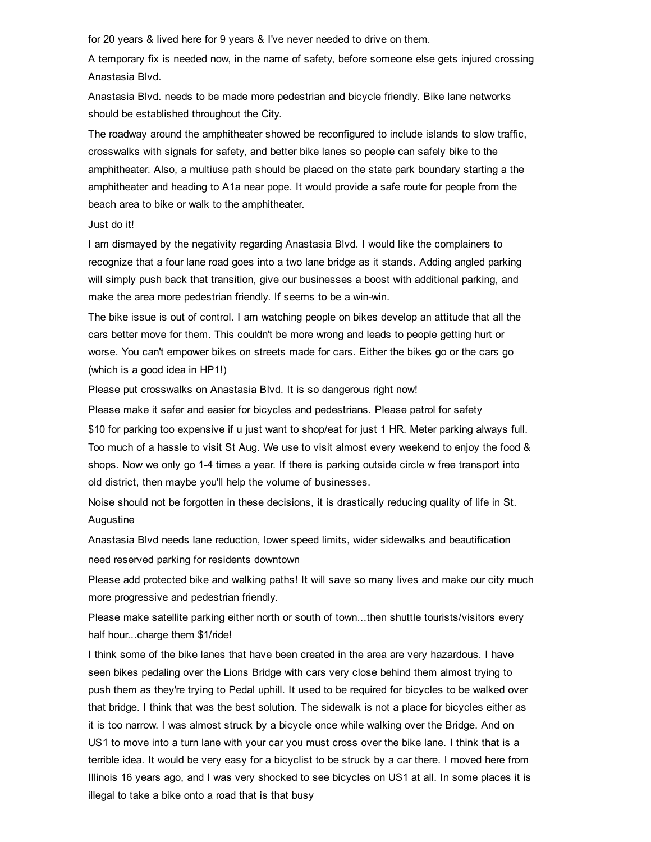for 20 years & lived here for 9 years & I've never needed to drive on them.

A temporary fix is needed now, in the name of safety, before someone else gets injured crossing Anastasia Blvd.

Anastasia Blvd. needs to be made more pedestrian and bicycle friendly. Bike lane networks should be established throughout the City.

The roadway around the amphitheater showed be reconfigured to include islands to slow traffic, crosswalks with signals for safety, and better bike lanes so people can safely bike to the amphitheater. Also, a multiuse path should be placed on the state park boundary starting a the amphitheater and heading to A1a near pope. It would provide a safe route for people from the beach area to bike or walk to the amphitheater.

#### Just do it!

I am dismayed by the negativity regarding Anastasia Blvd. I would like the complainers to recognize that a four lane road goes into a two lane bridge as it stands. Adding angled parking will simply push back that transition, give our businesses a boost with additional parking, and make the area more pedestrian friendly. If seems to be a win-win.

The bike issue is out of control. I am watching people on bikes develop an attitude that all the cars better move for them. This couldn't be more wrong and leads to people getting hurt or worse. You can't empower bikes on streets made for cars. Either the bikes go or the cars go (which is a good idea in HP1!)

Please put crosswalks on Anastasia Blvd. It is so dangerous right now!

Please make it safer and easier for bicycles and pedestrians. Please patrol for safety

\$10 for parking too expensive if u just want to shop/eat for just 1 HR. Meter parking always full. Too much of a hassle to visit St Aug. We use to visit almost every weekend to enjoy the food & shops. Now we only go 1-4 times a year. If there is parking outside circle w free transport into old district, then maybe you'll help the volume of businesses.

Noise should not be forgotten in these decisions, it is drastically reducing quality of life in St. Augustine

Anastasia Blvd needs lane reduction, lower speed limits, wider sidewalks and beautification need reserved parking for residents downtown

Please add protected bike and walking paths! It will save so many lives and make our city much more progressive and pedestrian friendly.

Please make satellite parking either north or south of town...then shuttle tourists/visitors every half hour...charge them \$1/ride!

I think some of the bike lanes that have been created in the area are very hazardous. I have seen bikes pedaling over the Lions Bridge with cars very close behind them almost trying to push them as they're trying to Pedal uphill. It used to be required for bicycles to be walked over that bridge. I think that was the best solution. The sidewalk is not a place for bicycles either as it is too narrow. I was almost struck by a bicycle once while walking over the Bridge. And on US1 to move into a turn lane with your car you must cross over the bike lane. I think that is a terrible idea. It would be very easy for a bicyclist to be struck by a car there. I moved here from Illinois 16 years ago, and I was very shocked to see bicycles on US1 at all. In some places it is illegal to take a bike onto a road that is that busy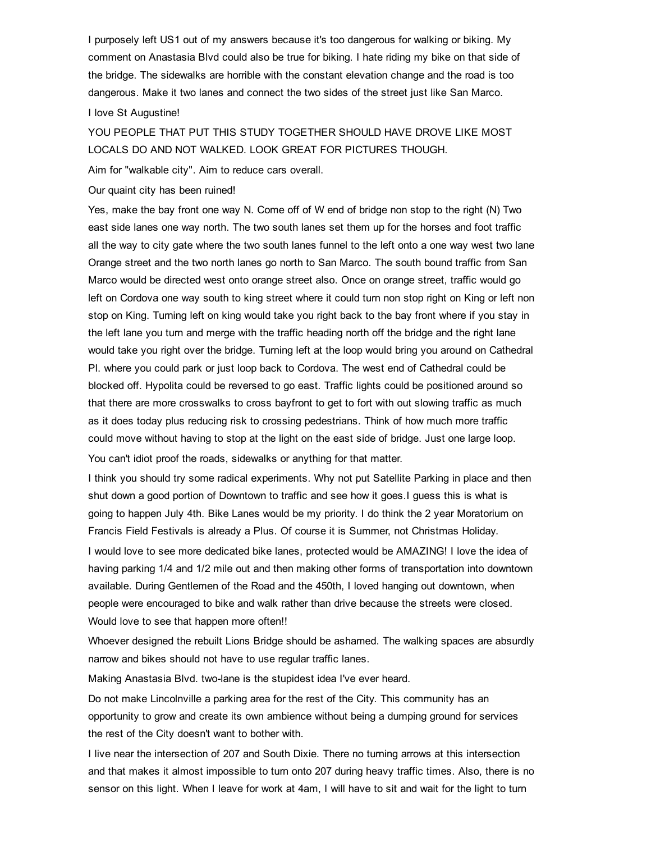I purposely left US1 out of my answers because it's too dangerous for walking or biking. My comment on Anastasia Blvd could also be true for biking. I hate riding my bike on that side of the bridge. The sidewalks are horrible with the constant elevation change and the road is too dangerous. Make it two lanes and connect the two sides of the street just like San Marco.

#### I love St Augustine!

YOU PEOPLE THAT PUT THIS STUDY TOGETHER SHOULD HAVE DROVE LIKE MOST LOCALS DO AND NOT WALKED. LOOK GREAT FOR PICTURES THOUGH.

Aim for "walkable city". Aim to reduce cars overall.

Our quaint city has been ruined!

Yes, make the bay front one way N. Come off of W end of bridge non stop to the right (N) Two east side lanes one way north. The two south lanes set them up for the horses and foot traffic all the way to city gate where the two south lanes funnel to the left onto a one way west two lane Orange street and the two north lanes go north to San Marco. The south bound traffic from San Marco would be directed west onto orange street also. Once on orange street, traffic would go left on Cordova one way south to king street where it could turn non stop right on King or left non stop on King. Turning left on king would take you right back to the bay front where if you stay in the left lane you turn and merge with the traffic heading north off the bridge and the right lane would take you right over the bridge. Turning left at the loop would bring you around on Cathedral Pl. where you could park or just loop back to Cordova. The west end of Cathedral could be blocked off. Hypolita could be reversed to go east. Traffic lights could be positioned around so that there are more crosswalks to cross bayfront to get to fort with out slowing traffic as much as it does today plus reducing risk to crossing pedestrians. Think of how much more traffic could move without having to stop at the light on the east side of bridge. Just one large loop. You can't idiot proof the roads, sidewalks or anything for that matter.

I think you should try some radical experiments. Why not put Satellite Parking in place and then shut down a good portion of Downtown to traffic and see how it goes.I guess this is what is going to happen July 4th. Bike Lanes would be my priority. I do think the 2 year Moratorium on Francis Field Festivals is already a Plus. Of course it is Summer, not Christmas Holiday.

I would love to see more dedicated bike lanes, protected would be AMAZING! I love the idea of having parking 1/4 and 1/2 mile out and then making other forms of transportation into downtown available. During Gentlemen of the Road and the 450th, I loved hanging out downtown, when people were encouraged to bike and walk rather than drive because the streets were closed. Would love to see that happen more often!!

Whoever designed the rebuilt Lions Bridge should be ashamed. The walking spaces are absurdly narrow and bikes should not have to use regular traffic lanes.

Making Anastasia Blvd. two-lane is the stupidest idea I've ever heard.

Do not make Lincolnville a parking area for the rest of the City. This community has an opportunity to grow and create its own ambience without being a dumping ground for services the rest of the City doesn't want to bother with.

I live near the intersection of 207 and South Dixie. There no turning arrows at this intersection and that makes it almost impossible to turn onto 207 during heavy traffic times. Also, there is no sensor on this light. When I leave for work at 4am, I will have to sit and wait for the light to turn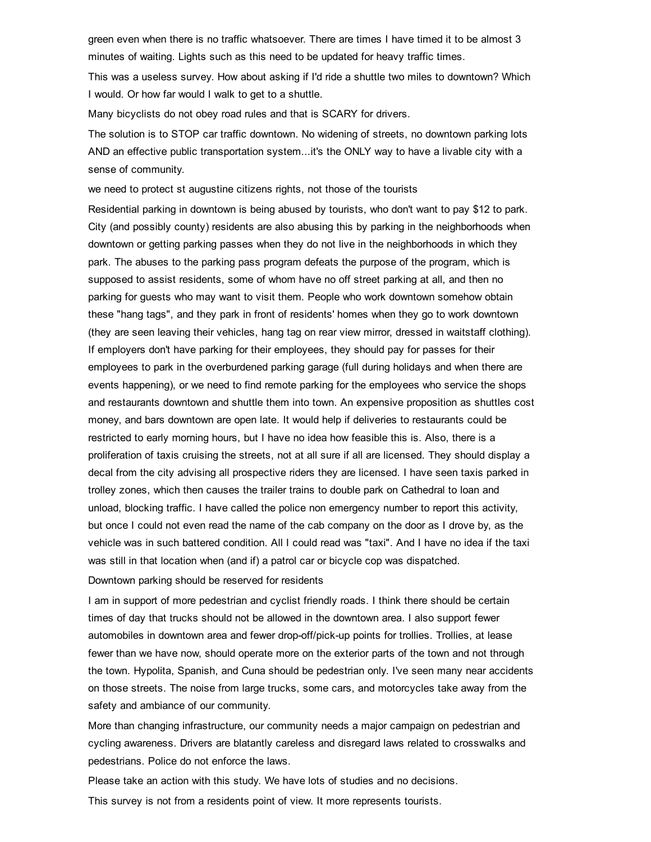green even when there is no traffic whatsoever. There are times I have timed it to be almost 3 minutes of waiting. Lights such as this need to be updated for heavy traffic times.

This was a useless survey. How about asking if I'd ride a shuttle two miles to downtown? Which I would. Or how far would I walk to get to a shuttle.

Many bicyclists do not obey road rules and that is SCARY for drivers.

The solution is to STOP car traffic downtown. No widening of streets, no downtown parking lots AND an effective public transportation system...it's the ONLY way to have a livable city with a sense of community.

we need to protect st augustine citizens rights, not those of the tourists

Residential parking in downtown is being abused by tourists, who don't want to pay \$12 to park. City (and possibly county) residents are also abusing this by parking in the neighborhoods when downtown or getting parking passes when they do not live in the neighborhoods in which they park. The abuses to the parking pass program defeats the purpose of the program, which is supposed to assist residents, some of whom have no off street parking at all, and then no parking for guests who may want to visit them. People who work downtown somehow obtain these "hang tags", and they park in front of residents' homes when they go to work downtown (they are seen leaving their vehicles, hang tag on rear view mirror, dressed in waitstaff clothing). If employers don't have parking for their employees, they should pay for passes for their employees to park in the overburdened parking garage (full during holidays and when there are events happening), or we need to find remote parking for the employees who service the shops and restaurants downtown and shuttle them into town. An expensive proposition as shuttles cost money, and bars downtown are open late. It would help if deliveries to restaurants could be restricted to early morning hours, but I have no idea how feasible this is. Also, there is a proliferation of taxis cruising the streets, not at all sure if all are licensed. They should display a decal from the city advising all prospective riders they are licensed. I have seen taxis parked in trolley zones, which then causes the trailer trains to double park on Cathedral to loan and unload, blocking traffic. I have called the police non emergency number to report this activity, but once I could not even read the name of the cab company on the door as I drove by, as the vehicle was in such battered condition. All I could read was "taxi". And I have no idea if the taxi was still in that location when (and if) a patrol car or bicycle cop was dispatched.

Downtown parking should be reserved for residents

I am in support of more pedestrian and cyclist friendly roads. I think there should be certain times of day that trucks should not be allowed in the downtown area. I also support fewer automobiles in downtown area and fewer drop-off/pick-up points for trollies. Trollies, at lease fewer than we have now, should operate more on the exterior parts of the town and not through the town. Hypolita, Spanish, and Cuna should be pedestrian only. I've seen many near accidents on those streets. The noise from large trucks, some cars, and motorcycles take away from the safety and ambiance of our community.

More than changing infrastructure, our community needs a major campaign on pedestrian and cycling awareness. Drivers are blatantly careless and disregard laws related to crosswalks and pedestrians. Police do not enforce the laws.

Please take an action with this study. We have lots of studies and no decisions.

This survey is not from a residents point of view. It more represents tourists.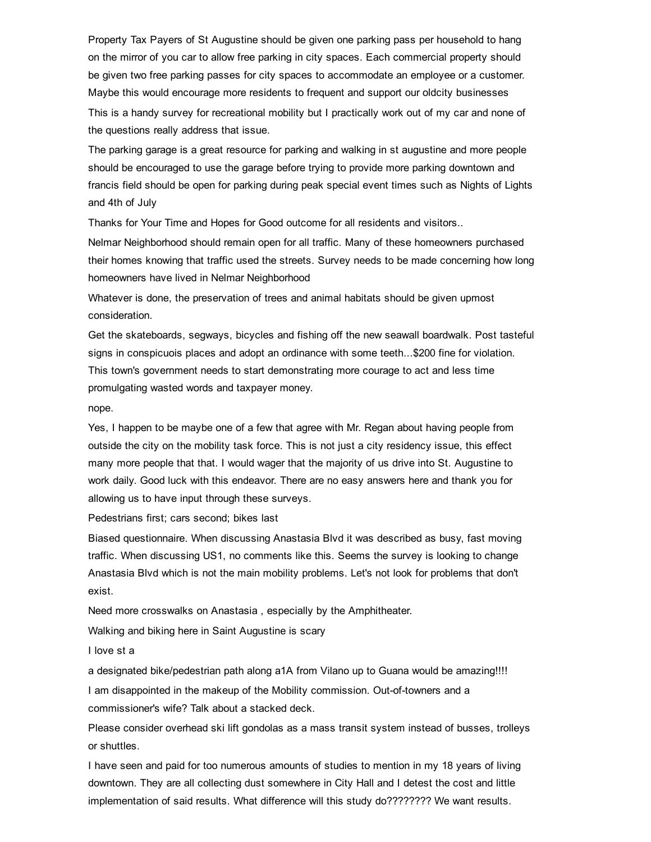Property Tax Payers of St Augustine should be given one parking pass per household to hang on the mirror of you car to allow free parking in city spaces. Each commercial property should be given two free parking passes for city spaces to accommodate an employee or a customer. Maybe this would encourage more residents to frequent and support our oldcity businesses

This is a handy survey for recreational mobility but I practically work out of my car and none of the questions really address that issue.

The parking garage is a great resource for parking and walking in st augustine and more people should be encouraged to use the garage before trying to provide more parking downtown and francis field should be open for parking during peak special event times such as Nights of Lights and 4th of July

Thanks for Your Time and Hopes for Good outcome for all residents and visitors..

Nelmar Neighborhood should remain open for all traffic. Many of these homeowners purchased their homes knowing that traffic used the streets. Survey needs to be made concerning how long homeowners have lived in Nelmar Neighborhood

Whatever is done, the preservation of trees and animal habitats should be given upmost consideration.

Get the skateboards, segways, bicycles and fishing off the new seawall boardwalk. Post tasteful signs in conspicuois places and adopt an ordinance with some teeth...\$200 fine for violation. This town's government needs to start demonstrating more courage to act and less time promulgating wasted words and taxpayer money.

nope.

Yes, I happen to be maybe one of a few that agree with Mr. Regan about having people from outside the city on the mobility task force. This is not just a city residency issue, this effect many more people that that. I would wager that the majority of us drive into St. Augustine to work daily. Good luck with this endeavor. There are no easy answers here and thank you for allowing us to have input through these surveys.

Pedestrians first; cars second; bikes last

Biased questionnaire. When discussing Anastasia Blvd it was described as busy, fast moving traffic. When discussing US1, no comments like this. Seems the survey is looking to change Anastasia Blvd which is not the main mobility problems. Let's not look for problems that don't exist.

Need more crosswalks on Anastasia , especially by the Amphitheater.

Walking and biking here in Saint Augustine is scary

I love st a

a designated bike/pedestrian path along a1A from Vilano up to Guana would be amazing!!!!

I am disappointed in the makeup of the Mobility commission. Out-of-towners and a commissioner's wife? Talk about a stacked deck.

Please consider overhead ski lift gondolas as a mass transit system instead of busses, trolleys or shuttles.

I have seen and paid for too numerous amounts of studies to mention in my 18 years of living downtown. They are all collecting dust somewhere in City Hall and I detest the cost and little implementation of said results. What difference will this study do???????? We want results.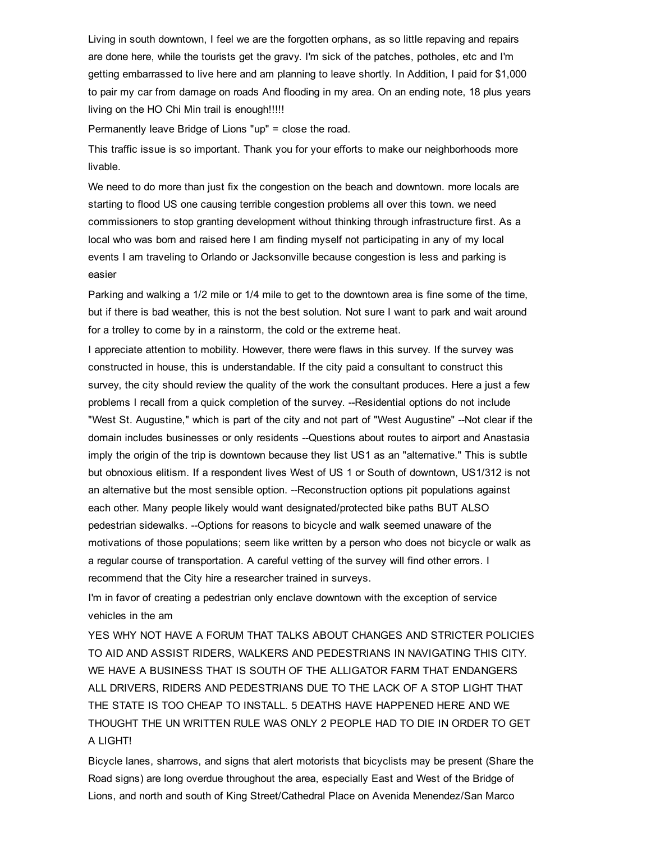Living in south downtown, I feel we are the forgotten orphans, as so little repaving and repairs are done here, while the tourists get the gravy. I'm sick of the patches, potholes, etc and I'm getting embarrassed to live here and am planning to leave shortly. In Addition, I paid for \$1,000 to pair my car from damage on roads And flooding in my area. On an ending note, 18 plus years living on the HO Chi Min trail is enough!!!!!

Permanently leave Bridge of Lions "up" = close the road.

This traffic issue is so important. Thank you for your efforts to make our neighborhoods more livable.

We need to do more than just fix the congestion on the beach and downtown. more locals are starting to flood US one causing terrible congestion problems all over this town. we need commissioners to stop granting development without thinking through infrastructure first. As a local who was born and raised here I am finding myself not participating in any of my local events I am traveling to Orlando or Jacksonville because congestion is less and parking is easier

Parking and walking a 1/2 mile or 1/4 mile to get to the downtown area is fine some of the time, but if there is bad weather, this is not the best solution. Not sure I want to park and wait around for a trolley to come by in a rainstorm, the cold or the extreme heat.

I appreciate attention to mobility. However, there were flaws in this survey. If the survey was constructed in house, this is understandable. If the city paid a consultant to construct this survey, the city should review the quality of the work the consultant produces. Here a just a few problems I recall from a quick completion of the survey. --Residential options do not include "West St. Augustine," which is part of the city and not part of "West Augustine" --Not clear if the domain includes businesses or only residents --Questions about routes to airport and Anastasia imply the origin of the trip is downtown because they list US1 as an "alternative." This is subtle but obnoxious elitism. If a respondent lives West of US 1 or South of downtown, US1/312 is not an alternative but the most sensible option. --Reconstruction options pit populations against each other. Many people likely would want designated/protected bike paths BUT ALSO pedestrian sidewalks. -- Options for reasons to bicycle and walk seemed unaware of the motivations of those populations; seem like written by a person who does not bicycle or walk as a regular course of transportation. A careful vetting of the survey will find other errors. I recommend that the City hire a researcher trained in surveys.

I'm in favor of creating a pedestrian only enclave downtown with the exception of service vehicles in the am

YES WHY NOT HAVE A FORUM THAT TALKS ABOUT CHANGES AND STRICTER POLICIES TO AID AND ASSIST RIDERS, WALKERS AND PEDESTRIANS IN NAVIGATING THIS CITY. WE HAVE A BUSINESS THAT IS SOUTH OF THE ALLIGATOR FARM THAT ENDANGERS ALL DRIVERS, RIDERS AND PEDESTRIANS DUE TO THE LACK OF A STOP LIGHT THAT THE STATE IS TOO CHEAP TO INSTALL. 5 DEATHS HAVE HAPPENED HERE AND WE THOUGHT THE UN WRITTEN RULE WAS ONLY 2 PEOPLE HAD TO DIE IN ORDER TO GET A LIGHT!

Bicycle lanes, sharrows, and signs that alert motorists that bicyclists may be present (Share the Road signs) are long overdue throughout the area, especially East and West of the Bridge of Lions, and north and south of King Street/Cathedral Place on Avenida Menendez/San Marco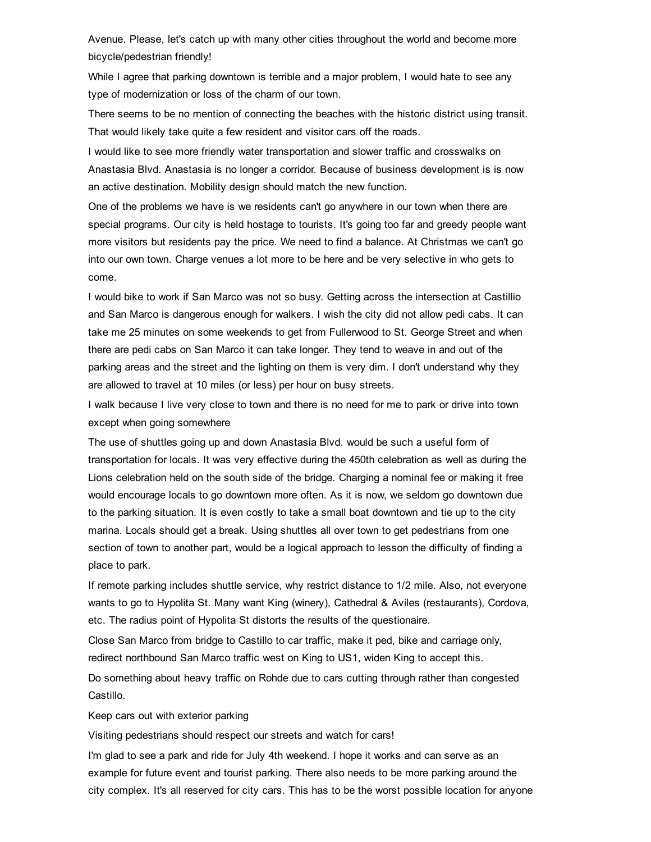Avenue. Please, let's catch up with many other cities throughout the world and become more bicycle/pedestrian friendly!

While I agree that parking downtown is terrible and a major problem, I would hate to see any type of modernization or loss of the charm of our town.

There seems to be no mention of connecting the beaches with the historic district using transit. That would likely take quite a few resident and visitor cars off the roads.

I would like to see more friendly water transportation and slower traffic and crosswalks on Anastasia Blvd. Anastasia is no longer a corridor. Because of business development is is now an active destination. Mobility design should match the new function.

One of the problems we have is we residents can't go anywhere in our town when there are special programs. Our city is held hostage to tourists. It's going too far and greedy people want more visitors but residents pay the price. We need to find a balance. At Christmas we can't go into our own town. Charge venues a lot more to be here and be very selective in who gets to come.

I would bike to work if San Marco was not so busy. Getting across the intersection at Castillio and San Marco is dangerous enough for walkers. I wish the city did not allow pedi cabs. It can take me 25 minutes on some weekends to get from Fullerwood to St. George Street and when there are pedi cabs on San Marco it can take longer. They tend to weave in and out of the parking areas and the street and the lighting on them is very dim. I don't understand why they are allowed to travel at 10 miles (or less) per hour on busy streets.

I walk because I live very close to town and there is no need for me to park or drive into town except when going somewhere

The use of shuttles going up and down Anastasia Blvd. would be such a useful form of transportation for locals. It was very effective during the 450th celebration as well as during the Lions celebration held on the south side of the bridge. Charging a nominal fee or making it free would encourage locals to go downtown more often. As it is now, we seldom go downtown due to the parking situation. It is even costly to take a small boat downtown and tie up to the city marina. Locals should get a break. Using shuttles all over town to get pedestrians from one section of town to another part, would be a logical approach to lesson the difficulty of finding a place to park.

If remote parking includes shuttle service, why restrict distance to 1/2 mile. Also, not everyone wants to go to Hypolita St. Many want King (winery), Cathedral & Aviles (restaurants), Cordova, etc. The radius point of Hypolita St distorts the results of the questionaire.

Close San Marco from bridge to Castillo to car traffic, make it ped, bike and carriage only, redirect northbound San Marco traffic west on King to US1, widen King to accept this.

Do something about heavy traffic on Rohde due to cars cutting through rather than congested Castillo.

Keep cars out with exterior parking

Visiting pedestrians should respect our streets and watch for cars!

I'm glad to see a park and ride for July 4th weekend. I hope it works and can serve as an example for future event and tourist parking. There also needs to be more parking around the city complex. It's all reserved for city cars. This has to be the worst possible location for anyone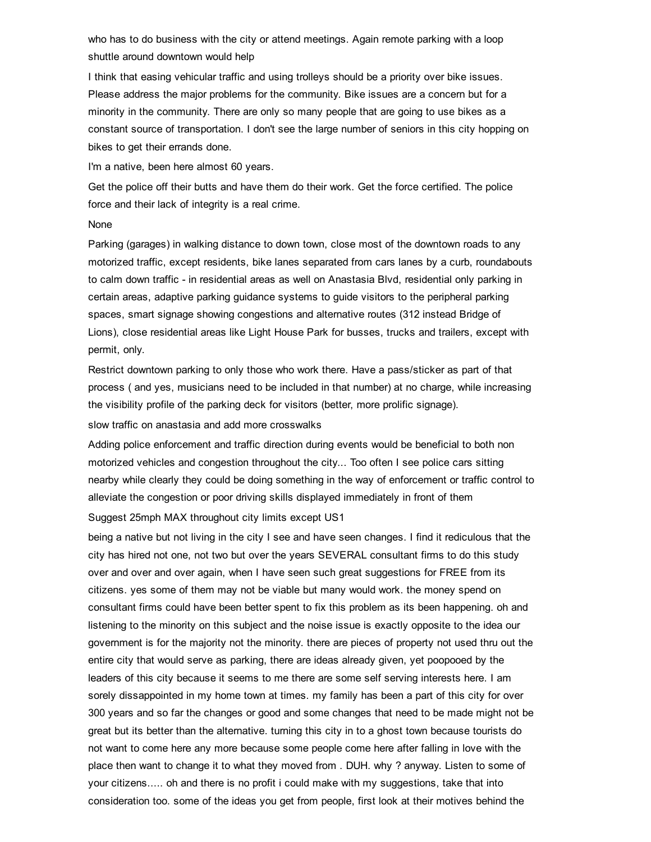who has to do business with the city or attend meetings. Again remote parking with a loop shuttle around downtown would help

I think that easing vehicular traffic and using trolleys should be a priority over bike issues. Please address the major problems for the community. Bike issues are a concern but for a minority in the community. There are only so many people that are going to use bikes as a constant source of transportation. I don't see the large number of seniors in this city hopping on bikes to get their errands done.

I'm a native, been here almost 60 years.

Get the police off their butts and have them do their work. Get the force certified. The police force and their lack of integrity is a real crime.

#### None

Parking (garages) in walking distance to down town, close most of the downtown roads to any motorized traffic, except residents, bike lanes separated from cars lanes by a curb, roundabouts to calm down traffic - in residential areas as well on Anastasia Blvd, residential only parking in certain areas, adaptive parking guidance systems to guide visitors to the peripheral parking spaces, smart signage showing congestions and alternative routes (312 instead Bridge of Lions), close residential areas like Light House Park for busses, trucks and trailers, except with permit, only.

Restrict downtown parking to only those who work there. Have a pass/sticker as part of that process ( and yes, musicians need to be included in that number) at no charge, while increasing the visibility profile of the parking deck for visitors (better, more prolific signage).

slow traffic on anastasia and add more crosswalks

Adding police enforcement and traffic direction during events would be beneficial to both non motorized vehicles and congestion throughout the city... Too often I see police cars sitting nearby while clearly they could be doing something in the way of enforcement or traffic control to alleviate the congestion or poor driving skills displayed immediately in front of them

Suggest 25mph MAX throughout city limits except US1

being a native but not living in the city I see and have seen changes. I find it rediculous that the city has hired not one, not two but over the years SEVERAL consultant firms to do this study over and over and over again, when I have seen such great suggestions for FREE from its citizens. yes some of them may not be viable but many would work. the money spend on consultant firms could have been better spent to fix this problem as its been happening. oh and listening to the minority on this subject and the noise issue is exactly opposite to the idea our government is for the majority not the minority. there are pieces of property not used thru out the entire city that would serve as parking, there are ideas already given, yet poopooed by the leaders of this city because it seems to me there are some self serving interests here. I am sorely dissappointed in my home town at times. my family has been a part of this city for over 300 years and so far the changes or good and some changes that need to be made might not be great but its better than the alternative. turning this city in to a ghost town because tourists do not want to come here any more because some people come here after falling in love with the place then want to change it to what they moved from . DUH. why ? anyway. Listen to some of your citizens..... oh and there is no profit i could make with my suggestions, take that into consideration too. some of the ideas you get from people, first look at their motives behind the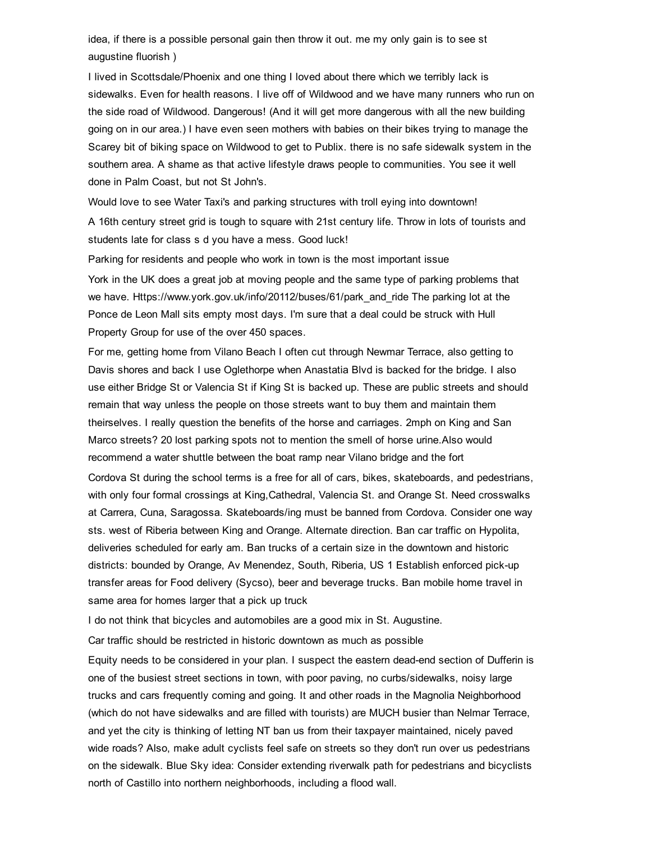idea, if there is a possible personal gain then throw it out. me my only gain is to see st augustine fluorish )

I lived in Scottsdale/Phoenix and one thing I loved about there which we terribly lack is sidewalks. Even for health reasons. I live off of Wildwood and we have many runners who run on the side road of Wildwood. Dangerous! (And it will get more dangerous with all the new building going on in our area.) I have even seen mothers with babies on their bikes trying to manage the Scarey bit of biking space on Wildwood to get to Publix. there is no safe sidewalk system in the southern area. A shame as that active lifestyle draws people to communities. You see it well done in Palm Coast, but not St John's.

Would love to see Water Taxi's and parking structures with troll eying into downtown!

A 16th century street grid is tough to square with 21st century life. Throw in lots of tourists and students late for class s d you have a mess. Good luck!

Parking for residents and people who work in town is the most important issue York in the UK does a great job at moving people and the same type of parking problems that we have. Https://www.york.gov.uk/info/20112/buses/61/park\_and\_ride The parking lot at the Ponce de Leon Mall sits empty most days. I'm sure that a deal could be struck with Hull Property Group for use of the over 450 spaces.

For me, getting home from Vilano Beach I often cut through Newmar Terrace, also getting to Davis shores and back I use Oglethorpe when Anastatia Blvd is backed for the bridge. I also use either Bridge St or Valencia St if King St is backed up. These are public streets and should remain that way unless the people on those streets want to buy them and maintain them theirselves. I really question the benefits of the horse and carriages. 2mph on King and San Marco streets? 20 lost parking spots not to mention the smell of horse urine.Also would recommend a water shuttle between the boat ramp near Vilano bridge and the fort Cordova St during the school terms is a free for all of cars, bikes, skateboards, and pedestrians, with only four formal crossings at King,Cathedral, Valencia St. and Orange St. Need crosswalks at Carrera, Cuna, Saragossa. Skateboards/ing must be banned from Cordova. Consider one way

sts. west of Riberia between King and Orange. Alternate direction. Ban car traffic on Hypolita, deliveries scheduled for early am. Ban trucks of a certain size in the downtown and historic districts: bounded by Orange, Av Menendez, South, Riberia, US 1 Establish enforced pick-up transfer areas for Food delivery (Sycso), beer and beverage trucks. Ban mobile home travel in same area for homes larger that a pick up truck

I do not think that bicycles and automobiles are a good mix in St. Augustine.

Car traffic should be restricted in historic downtown as much as possible

Equity needs to be considered in your plan. I suspect the eastern dead-end section of Dufferin is one of the busiest street sections in town, with poor paving, no curbs/sidewalks, noisy large trucks and cars frequently coming and going. It and other roads in the Magnolia Neighborhood (which do not have sidewalks and are filled with tourists) are MUCH busier than Nelmar Terrace, and yet the city is thinking of letting NT ban us from their taxpayer maintained, nicely paved wide roads? Also, make adult cyclists feel safe on streets so they don't run over us pedestrians on the sidewalk. Blue Sky idea: Consider extending riverwalk path for pedestrians and bicyclists north of Castillo into northern neighborhoods, including a flood wall.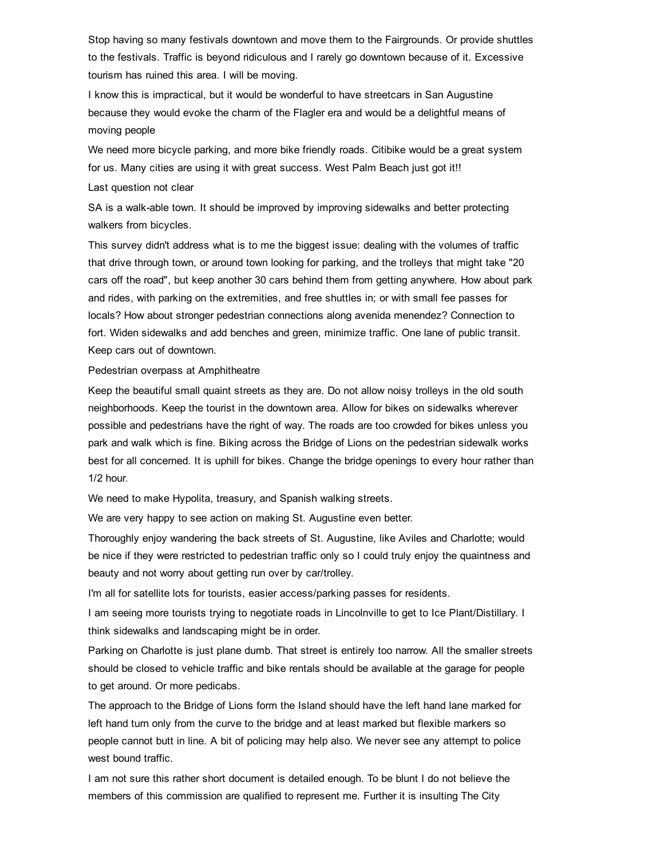Stop having so many festivals downtown and move them to the Fairgrounds. Or provide shuttles to the festivals. Traffic is beyond ridiculous and I rarely go downtown because of it. Excessive tourism has ruined this area. I will be moving.

I know this is impractical, but it would be wonderful to have streetcars in San Augustine because they would evoke the charm of the Flagler era and would be a delightful means of moving people

We need more bicycle parking, and more bike friendly roads. Citibike would be a great system for us. Many cities are using it with great success. West Palm Beach just got it!!

#### Last question not clear

SA is a walk-able town. It should be improved by improving sidewalks and better protecting walkers from bicycles.

This survey didn't address what is to me the biggest issue: dealing with the volumes of traffic that drive through town, or around town looking for parking, and the trolleys that might take "20 cars off the road", but keep another 30 cars behind them from getting anywhere. How about park and rides, with parking on the extremities, and free shuttles in; or with small fee passes for locals? How about stronger pedestrian connections along avenida menendez? Connection to fort. Widen sidewalks and add benches and green, minimize traffic. One lane of public transit. Keep cars out of downtown.

#### Pedestrian overpass at Amphitheatre

Keep the beautiful small quaint streets as they are. Do not allow noisy trolleys in the old south neighborhoods. Keep the tourist in the downtown area. Allow for bikes on sidewalks wherever possible and pedestrians have the right of way. The roads are too crowded for bikes unless you park and walk which is fine. Biking across the Bridge of Lions on the pedestrian sidewalk works best for all concerned. It is uphill for bikes. Change the bridge openings to every hour rather than 1/2 hour.

We need to make Hypolita, treasury, and Spanish walking streets.

We are very happy to see action on making St. Augustine even better.

Thoroughly enjoy wandering the back streets of St. Augustine, like Aviles and Charlotte; would be nice if they were restricted to pedestrian traffic only so I could truly enjoy the quaintness and beauty and not worry about getting run over by car/trolley.

I'm all for satellite lots for tourists, easier access/parking passes for residents.

I am seeing more tourists trying to negotiate roads in Lincolnville to get to Ice Plant/Distillary. I think sidewalks and landscaping might be in order.

Parking on Charlotte is just plane dumb. That street is entirely too narrow. All the smaller streets should be closed to vehicle traffic and bike rentals should be available at the garage for people to get around. Or more pedicabs.

The approach to the Bridge of Lions form the Island should have the left hand lane marked for left hand turn only from the curve to the bridge and at least marked but flexible markers so people cannot butt in line. A bit of policing may help also. We never see any attempt to police west bound traffic.

I am not sure this rather short document is detailed enough. To be blunt I do not believe the members of this commission are qualified to represent me. Further it is insulting The City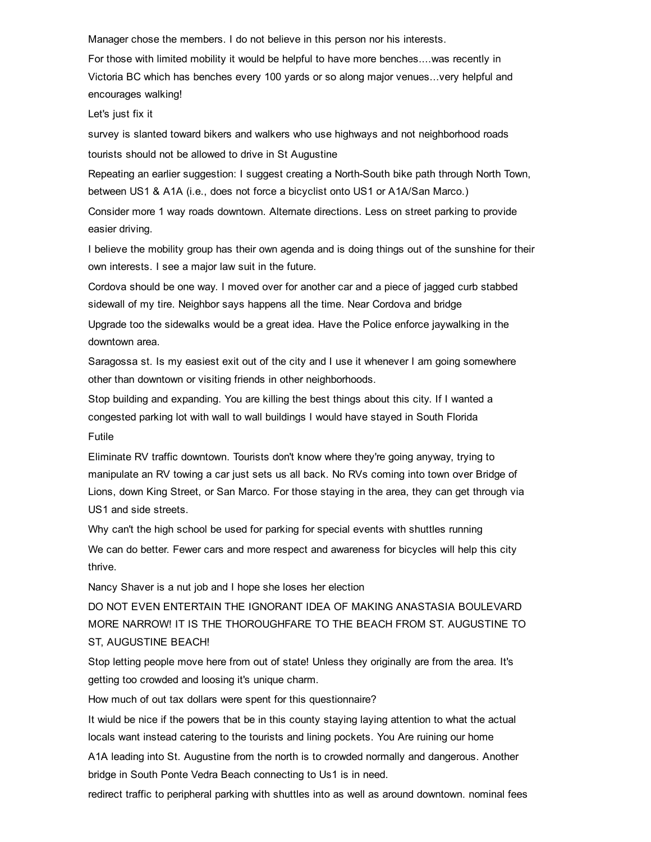Manager chose the members. I do not believe in this person nor his interests.

For those with limited mobility it would be helpful to have more benches....was recently in Victoria BC which has benches every 100 yards or so along major venues...very helpful and encourages walking!

Let's just fix it

survey is slanted toward bikers and walkers who use highways and not neighborhood roads tourists should not be allowed to drive in St Augustine

Repeating an earlier suggestion: I suggest creating a North-South bike path through North Town, between US1 & A1A (i.e., does not force a bicyclist onto US1 or A1A/San Marco.)

Consider more 1 way roads downtown. Alternate directions. Less on street parking to provide easier driving.

I believe the mobility group has their own agenda and is doing things out of the sunshine for their own interests. I see a major law suit in the future.

Cordova should be one way. I moved over for another car and a piece of jagged curb stabbed sidewall of my tire. Neighbor says happens all the time. Near Cordova and bridge

Upgrade too the sidewalks would be a great idea. Have the Police enforce jaywalking in the downtown area.

Saragossa st. Is my easiest exit out of the city and I use it whenever I am going somewhere other than downtown or visiting friends in other neighborhoods.

Stop building and expanding. You are killing the best things about this city. If I wanted a congested parking lot with wall to wall buildings I would have stayed in South Florida Futile

Eliminate RV traffic downtown. Tourists don't know where they're going anyway, trying to manipulate an RV towing a car just sets us all back. No RVs coming into town over Bridge of Lions, down King Street, or San Marco. For those staying in the area, they can get through via US1 and side streets.

Why can't the high school be used for parking for special events with shuttles running

We can do better. Fewer cars and more respect and awareness for bicycles will help this city thrive.

Nancy Shaver is a nut job and I hope she loses her election

DO NOT EVEN ENTERTAIN THE IGNORANT IDEA OF MAKING ANASTASIA BOULEVARD MORE NARROW! IT IS THE THOROUGHFARE TO THE BEACH FROM ST. AUGUSTINE TO ST, AUGUSTINE BEACH!

Stop letting people move here from out of state! Unless they originally are from the area. It's getting too crowded and loosing it's unique charm.

How much of out tax dollars were spent for this questionnaire?

It wiuld be nice if the powers that be in this county staying laying attention to what the actual locals want instead catering to the tourists and lining pockets. You Are ruining our home

A1A leading into St. Augustine from the north is to crowded normally and dangerous. Another bridge in South Ponte Vedra Beach connecting to Us1 is in need.

redirect traffic to peripheral parking with shuttles into as well as around downtown. nominal fees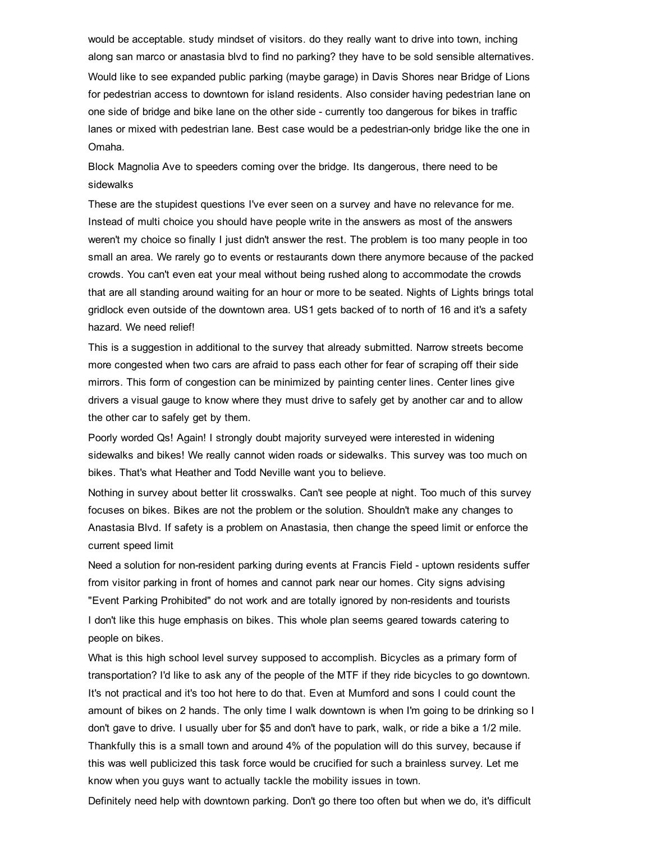would be acceptable. study mindset of visitors. do they really want to drive into town, inching along san marco or anastasia blvd to find no parking? they have to be sold sensible alternatives. Would like to see expanded public parking (maybe garage) in Davis Shores near Bridge of Lions for pedestrian access to downtown for island residents. Also consider having pedestrian lane on one side of bridge and bike lane on the other side currently too dangerous for bikes in traffic lanes or mixed with pedestrian lane. Best case would be a pedestrian-only bridge like the one in Omaha.

Block Magnolia Ave to speeders coming over the bridge. Its dangerous, there need to be sidewalks

These are the stupidest questions I've ever seen on a survey and have no relevance for me. Instead of multi choice you should have people write in the answers as most of the answers weren't my choice so finally I just didn't answer the rest. The problem is too many people in too small an area. We rarely go to events or restaurants down there anymore because of the packed crowds. You can't even eat your meal without being rushed along to accommodate the crowds that are all standing around waiting for an hour or more to be seated. Nights of Lights brings total gridlock even outside of the downtown area. US1 gets backed of to north of 16 and it's a safety hazard. We need relief!

This is a suggestion in additional to the survey that already submitted. Narrow streets become more congested when two cars are afraid to pass each other for fear of scraping off their side mirrors. This form of congestion can be minimized by painting center lines. Center lines give drivers a visual gauge to know where they must drive to safely get by another car and to allow the other car to safely get by them.

Poorly worded Qs! Again! I strongly doubt majority surveyed were interested in widening sidewalks and bikes! We really cannot widen roads or sidewalks. This survey was too much on bikes. That's what Heather and Todd Neville want you to believe.

Nothing in survey about better lit crosswalks. Can't see people at night. Too much of this survey focuses on bikes. Bikes are not the problem or the solution. Shouldn't make any changes to Anastasia Blvd. If safety is a problem on Anastasia, then change the speed limit or enforce the current speed limit

Need a solution for non-resident parking during events at Francis Field - uptown residents suffer from visitor parking in front of homes and cannot park near our homes. City signs advising "Event Parking Prohibited" do not work and are totally ignored by nonresidents and tourists I don't like this huge emphasis on bikes. This whole plan seems geared towards catering to people on bikes.

What is this high school level survey supposed to accomplish. Bicycles as a primary form of transportation? I'd like to ask any of the people of the MTF if they ride bicycles to go downtown. It's not practical and it's too hot here to do that. Even at Mumford and sons I could count the amount of bikes on 2 hands. The only time I walk downtown is when I'm going to be drinking so I don't gave to drive. I usually uber for \$5 and don't have to park, walk, or ride a bike a 1/2 mile. Thankfully this is a small town and around 4% of the population will do this survey, because if this was well publicized this task force would be crucified for such a brainless survey. Let me know when you guys want to actually tackle the mobility issues in town.

Definitely need help with downtown parking. Don't go there too often but when we do, it's difficult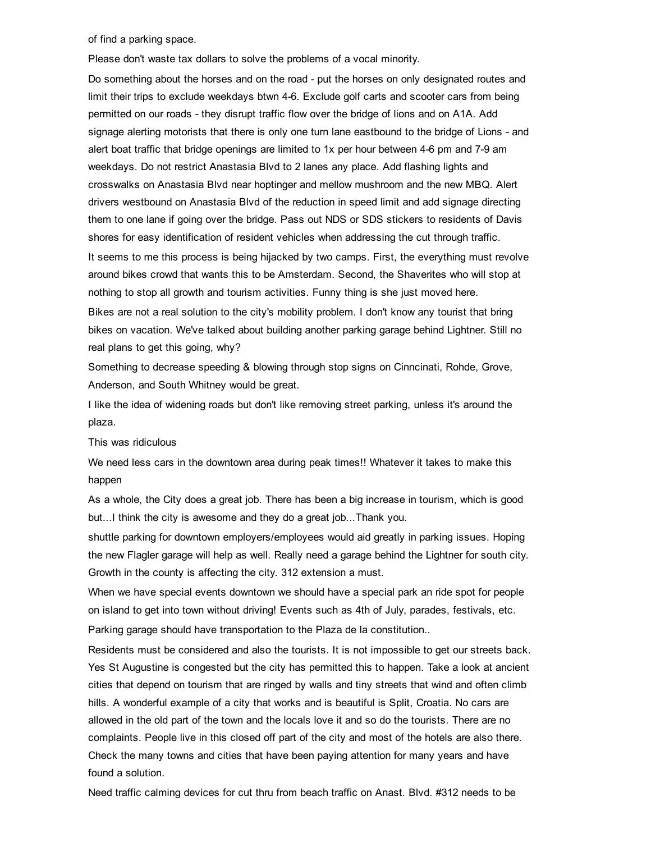of find a parking space.

Please don't waste tax dollars to solve the problems of a vocal minority.

Do something about the horses and on the road - put the horses on only designated routes and limit their trips to exclude weekdays btwn 46. Exclude golf carts and scooter cars from being permitted on our roads they disrupt traffic flow over the bridge of lions and on A1A. Add signage alerting motorists that there is only one turn lane eastbound to the bridge of Lions - and alert boat traffic that bridge openings are limited to 1x per hour between 46 pm and 79 am weekdays. Do not restrict Anastasia Blvd to 2 lanes any place. Add flashing lights and crosswalks on Anastasia Blvd near hoptinger and mellow mushroom and the new MBQ. Alert drivers westbound on Anastasia Blvd of the reduction in speed limit and add signage directing them to one lane if going over the bridge. Pass out NDS or SDS stickers to residents of Davis shores for easy identification of resident vehicles when addressing the cut through traffic.

It seems to me this process is being hijacked by two camps. First, the everything must revolve around bikes crowd that wants this to be Amsterdam. Second, the Shaverites who will stop at nothing to stop all growth and tourism activities. Funny thing is she just moved here.

Bikes are not a real solution to the city's mobility problem. I don't know any tourist that bring bikes on vacation. We've talked about building another parking garage behind Lightner. Still no real plans to get this going, why?

Something to decrease speeding & blowing through stop signs on Cinncinati, Rohde, Grove, Anderson, and South Whitney would be great.

I like the idea of widening roads but don't like removing street parking, unless it's around the plaza.

This was ridiculous

We need less cars in the downtown area during peak times!! Whatever it takes to make this happen

As a whole, the City does a great job. There has been a big increase in tourism, which is good but...I think the city is awesome and they do a great job...Thank you.

shuttle parking for downtown employers/employees would aid greatly in parking issues. Hoping the new Flagler garage will help as well. Really need a garage behind the Lightner for south city. Growth in the county is affecting the city. 312 extension a must.

When we have special events downtown we should have a special park an ride spot for people on island to get into town without driving! Events such as 4th of July, parades, festivals, etc.

Parking garage should have transportation to the Plaza de la constitution..

Residents must be considered and also the tourists. It is not impossible to get our streets back. Yes St Augustine is congested but the city has permitted this to happen. Take a look at ancient cities that depend on tourism that are ringed by walls and tiny streets that wind and often climb hills. A wonderful example of a city that works and is beautiful is Split, Croatia. No cars are allowed in the old part of the town and the locals love it and so do the tourists. There are no complaints. People live in this closed off part of the city and most of the hotels are also there. Check the many towns and cities that have been paying attention for many years and have found a solution.

Need traffic calming devices for cut thru from beach traffic on Anast. Blvd. #312 needs to be